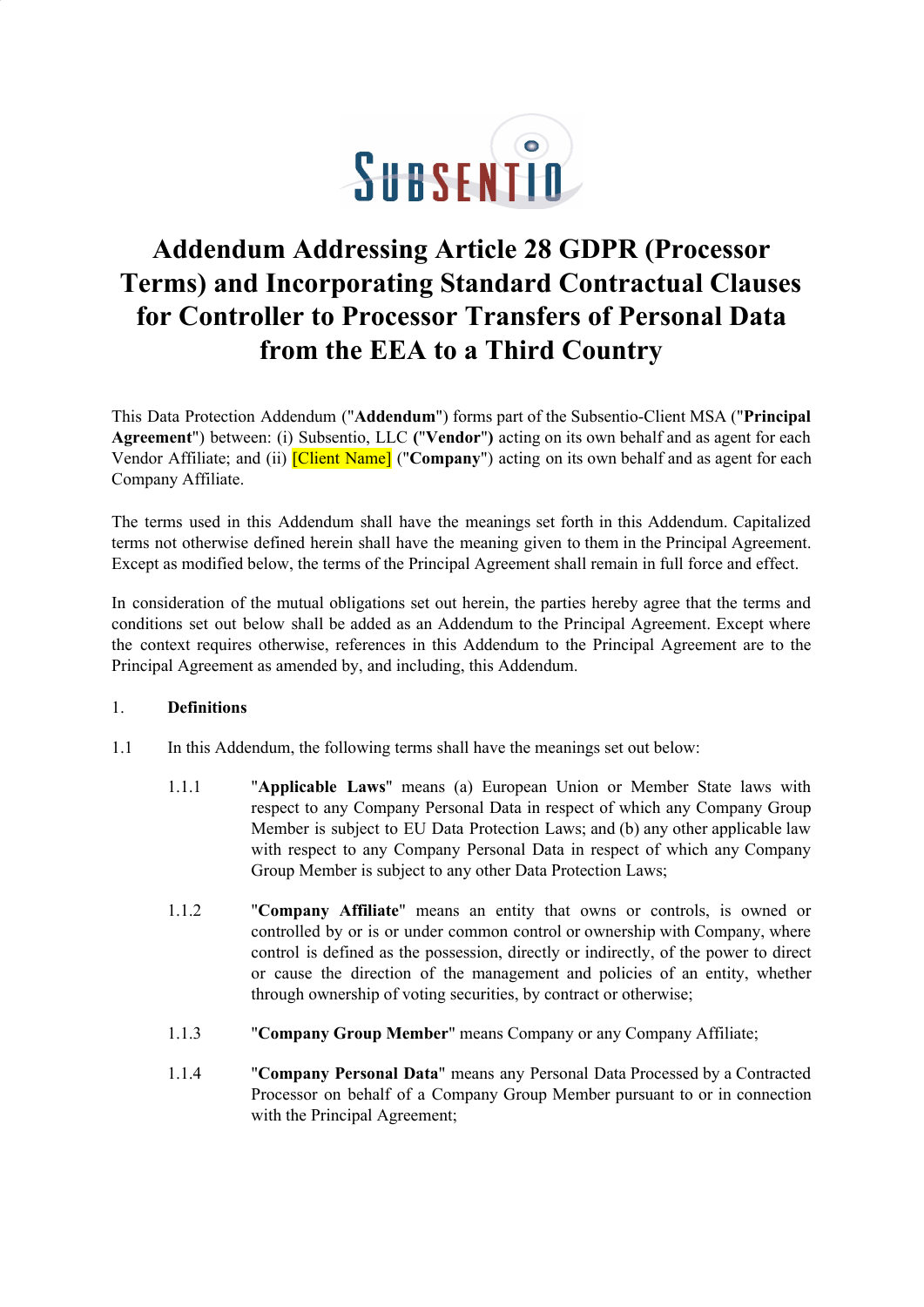

# **Addendum Addressing Article 28 GDPR (Processor Terms) and Incorporating Standard Contractual Clauses for Controller to Processor Transfers of Personal Data from the EEA to a Third Country**

This Data Protection Addendum ("**Addendum**") forms part of the Subsentio-Client MSA ("**Principal Agreement**") between: (i) Subsentio, LLC **(**"**Vendor**"**)** acting on its own behalf and as agent for each Vendor Affiliate; and (ii) [Client Name] ("**Company**") acting on its own behalf and as agent for each Company Affiliate.

The terms used in this Addendum shall have the meanings set forth in this Addendum. Capitalized terms not otherwise defined herein shall have the meaning given to them in the Principal Agreement. Except as modified below, the terms of the Principal Agreement shall remain in full force and effect.

In consideration of the mutual obligations set out herein, the parties hereby agree that the terms and conditions set out below shall be added as an Addendum to the Principal Agreement. Except where the context requires otherwise, references in this Addendum to the Principal Agreement are to the Principal Agreement as amended by, and including, this Addendum.

## 1. **Definitions**

- 1.1 In this Addendum, the following terms shall have the meanings set out below:
	- 1.1.1 "**Applicable Laws**" means (a) European Union or Member State laws with respect to any Company Personal Data in respect of which any Company Group Member is subject to EU Data Protection Laws; and (b) any other applicable law with respect to any Company Personal Data in respect of which any Company Group Member is subject to any other Data Protection Laws;
	- 1.1.2 "**Company Affiliate**" means an entity that owns or controls, is owned or controlled by or is or under common control or ownership with Company, where control is defined as the possession, directly or indirectly, of the power to direct or cause the direction of the management and policies of an entity, whether through ownership of voting securities, by contract or otherwise;
	- 1.1.3 "**Company Group Member**" means Company or any Company Affiliate;
	- 1.1.4 "**Company Personal Data**" means any Personal Data Processed by a Contracted Processor on behalf of a Company Group Member pursuant to or in connection with the Principal Agreement;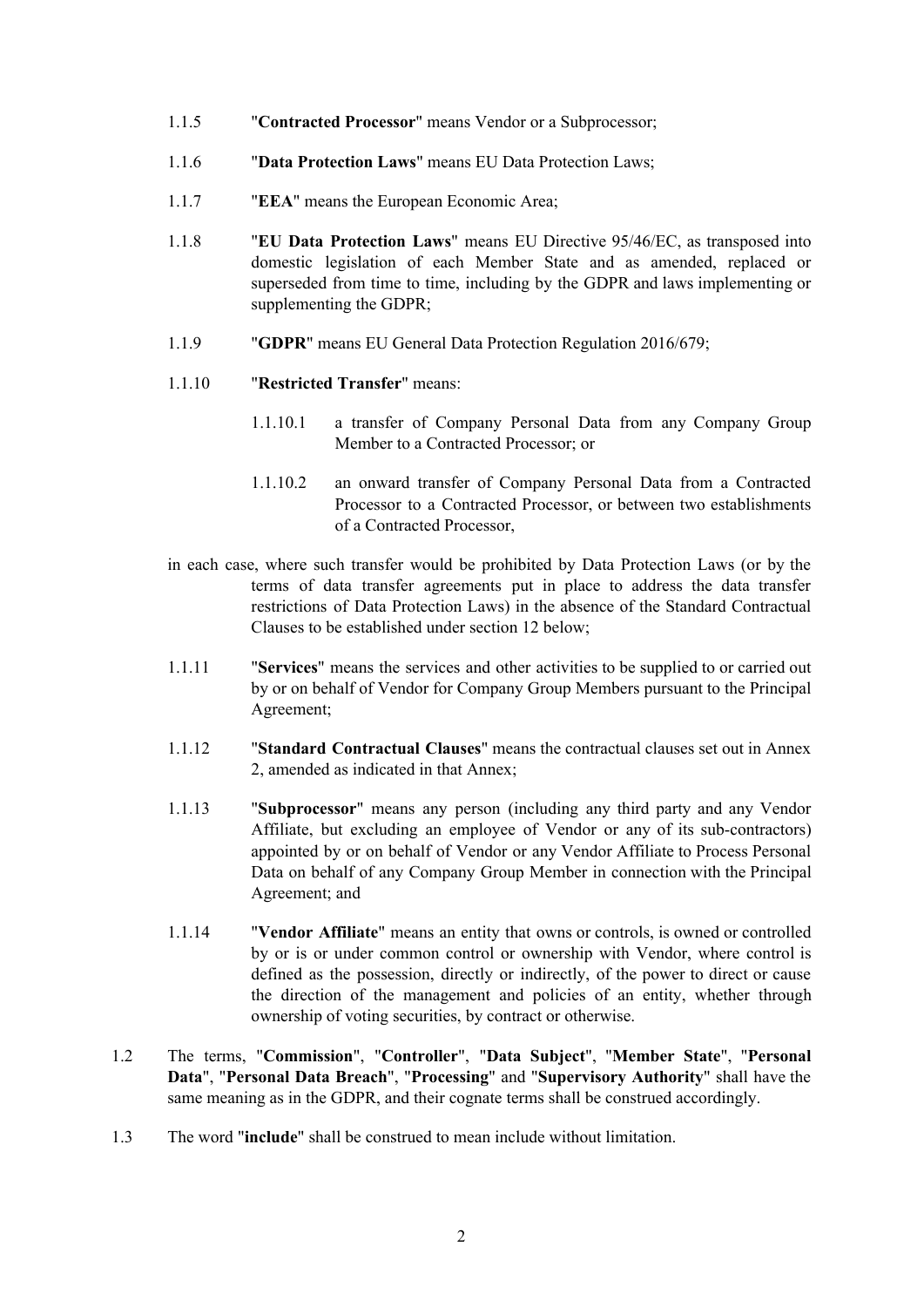- 1.1.5 "**Contracted Processor**" means Vendor or a Subprocessor;
- 1.1.6 "**Data Protection Laws**" means EU Data Protection Laws;
- 1.1.7 "**EEA**" means the European Economic Area;
- 1.1.8 "**EU Data Protection Laws**" means EU Directive 95/46/EC, as transposed into domestic legislation of each Member State and as amended, replaced or superseded from time to time, including by the GDPR and laws implementing or supplementing the GDPR;
- 1.1.9 "**GDPR**" means EU General Data Protection Regulation 2016/679;
- 1.1.10 "**Restricted Transfer**" means:
	- 1.1.10.1 a transfer of Company Personal Data from any Company Group Member to a Contracted Processor; or
	- 1.1.10.2 an onward transfer of Company Personal Data from a Contracted Processor to a Contracted Processor, or between two establishments of a Contracted Processor,
- in each case, where such transfer would be prohibited by Data Protection Laws (or by the terms of data transfer agreements put in place to address the data transfer restrictions of Data Protection Laws) in the absence of the Standard Contractual Clauses to be established under section [12](#page-5-0) below;
- 1.1.11 "**Services**" means the services and other activities to be supplied to or carried out by or on behalf of Vendor for Company Group Members pursuant to the Principal Agreement;
- 1.1.12 "**Standard Contractual Clauses**" means the contractual clauses set out in Annex 2, amended as indicated in that Annex;
- 1.1.13 "**Subprocessor**" means any person (including any third party and any Vendor Affiliate, but excluding an employee of Vendor or any of its sub-contractors) appointed by or on behalf of Vendor or any Vendor Affiliate to Process Personal Data on behalf of any Company Group Member in connection with the Principal Agreement; and
- 1.1.14 "**Vendor Affiliate**" means an entity that owns or controls, is owned or controlled by or is or under common control or ownership with Vendor, where control is defined as the possession, directly or indirectly, of the power to direct or cause the direction of the management and policies of an entity, whether through ownership of voting securities, by contract or otherwise.
- 1.2 The terms, "**Commission**", "**Controller**", "**Data Subject**", "**Member State**", "**Personal Data**", "**Personal Data Breach**", "**Processing**" and "**Supervisory Authority**" shall have the same meaning as in the GDPR, and their cognate terms shall be construed accordingly.
- 1.3 The word "**include**" shall be construed to mean include without limitation.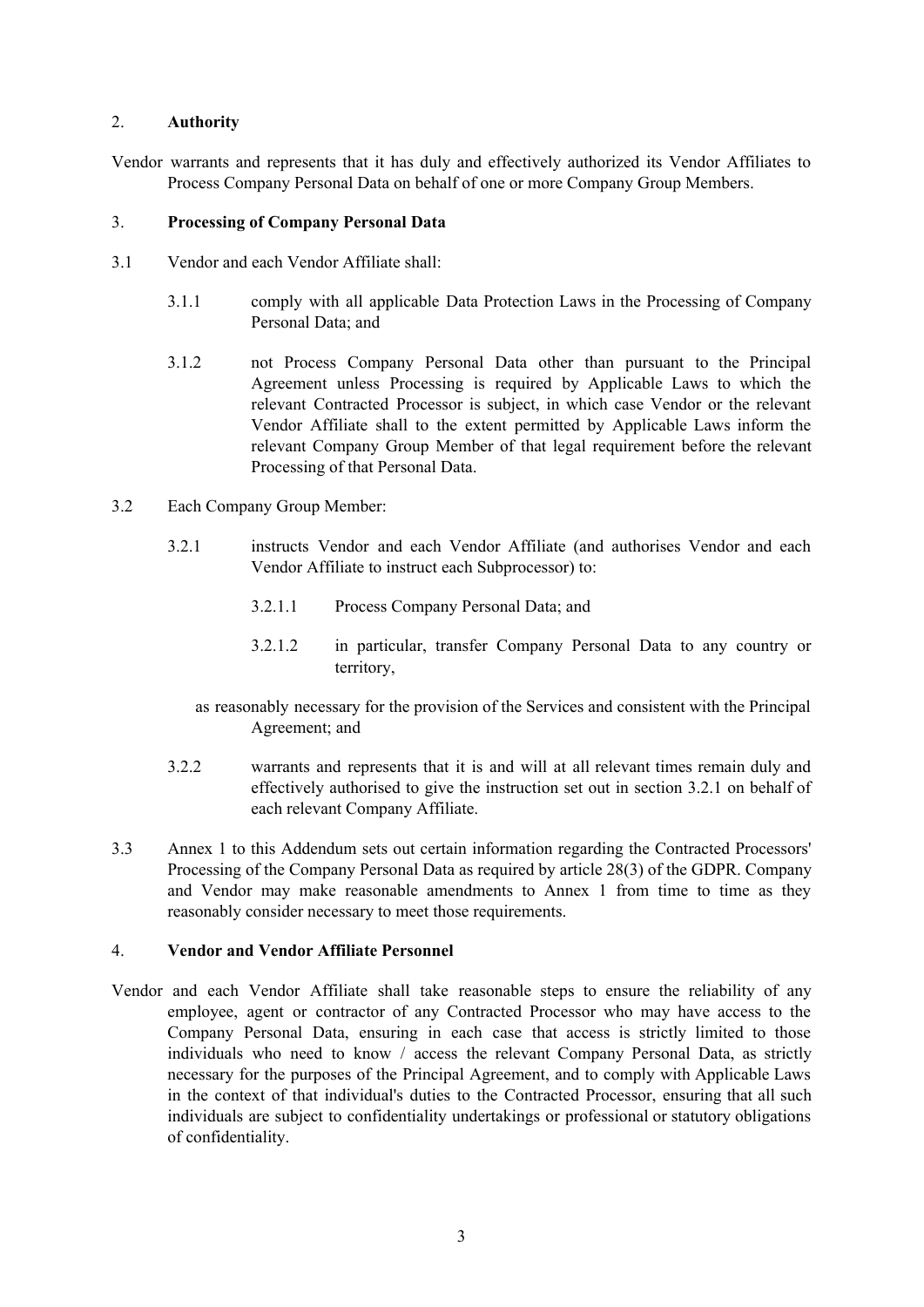## 2. **Authority**

Vendor warrants and represents that it has duly and effectively authorized its Vendor Affiliates to Process Company Personal Data on behalf of one or more Company Group Members.

## 3. **Processing of Company Personal Data**

- 3.1 Vendor and each Vendor Affiliate shall:
	- 3.1.1 comply with all applicable Data Protection Laws in the Processing of Company Personal Data; and
	- 3.1.2 not Process Company Personal Data other than pursuant to the Principal Agreement unless Processing is required by Applicable Laws to which the relevant Contracted Processor is subject, in which case Vendor or the relevant Vendor Affiliate shall to the extent permitted by Applicable Laws inform the relevant Company Group Member of that legal requirement before the relevant Processing of that Personal Data.
- <span id="page-2-0"></span>3.2 Each Company Group Member:
	- 3.2.1 instructs Vendor and each Vendor Affiliate (and authorises Vendor and each Vendor Affiliate to instruct each Subprocessor) to:
		- 3.2.1.1 Process Company Personal Data; and
		- 3.2.1.2 in particular, transfer Company Personal Data to any country or territory,
		- as reasonably necessary for the provision of the Services and consistent with the Principal Agreement; and
	- 3.2.2 warrants and represents that it is and will at all relevant times remain duly and effectively authorised to give the instruction set out in section [3.2.1](#page-2-0) on behalf of each relevant Company Affiliate.
- 3.3 Annex 1 to this Addendum sets out certain information regarding the Contracted Processors' Processing of the Company Personal Data as required by article 28(3) of the GDPR. Company and Vendor may make reasonable amendments to Annex 1 from time to time as they reasonably consider necessary to meet those requirements.

#### 4. **Vendor and Vendor Affiliate Personnel**

Vendor and each Vendor Affiliate shall take reasonable steps to ensure the reliability of any employee, agent or contractor of any Contracted Processor who may have access to the Company Personal Data, ensuring in each case that access is strictly limited to those individuals who need to know / access the relevant Company Personal Data, as strictly necessary for the purposes of the Principal Agreement, and to comply with Applicable Laws in the context of that individual's duties to the Contracted Processor, ensuring that all such individuals are subject to confidentiality undertakings or professional or statutory obligations of confidentiality.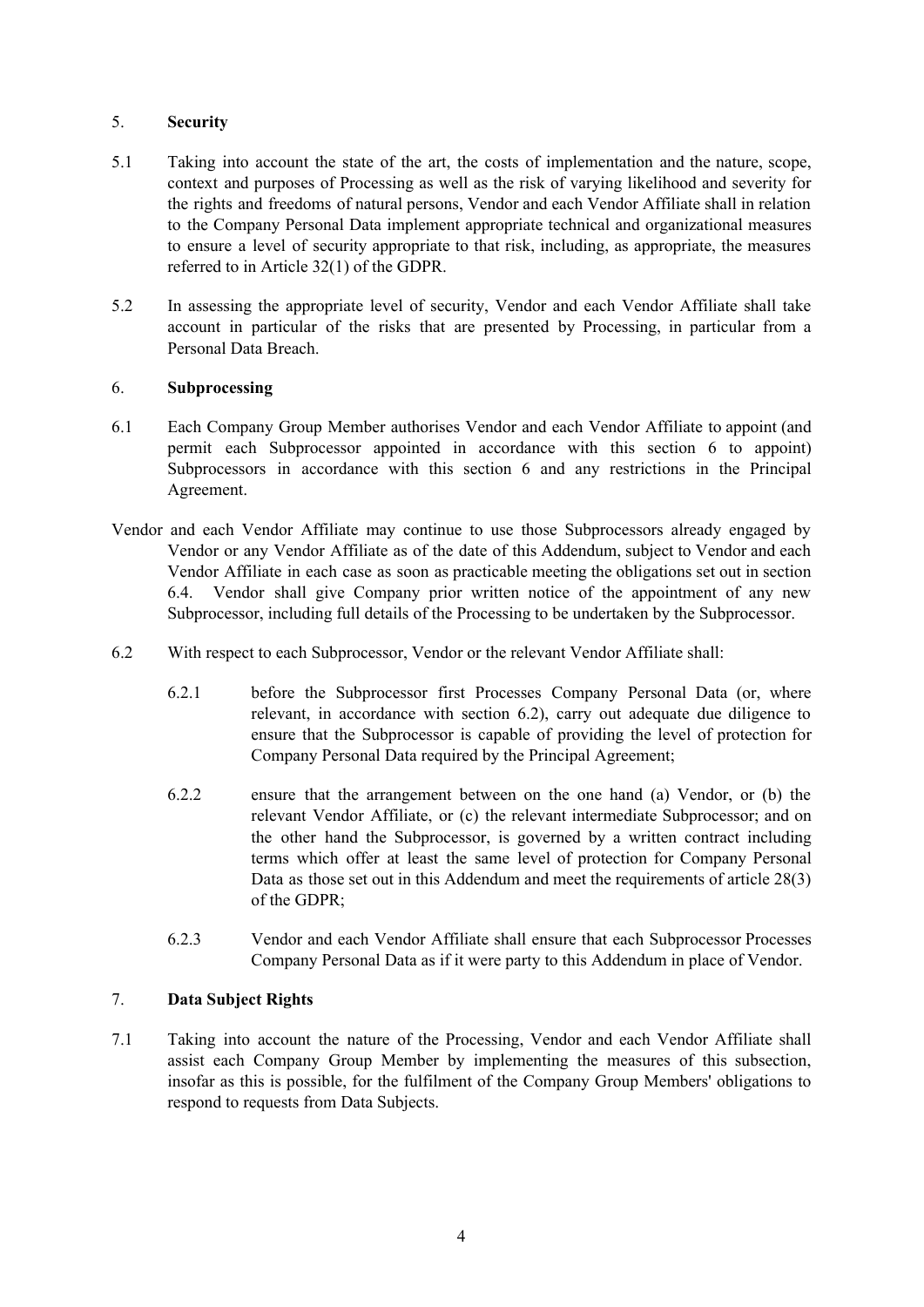## 5. **Security**

- 5.1 Taking into account the state of the art, the costs of implementation and the nature, scope, context and purposes of Processing as well as the risk of varying likelihood and severity for the rights and freedoms of natural persons, Vendor and each Vendor Affiliate shall in relation to the Company Personal Data implement appropriate technical and organizational measures to ensure a level of security appropriate to that risk, including, as appropriate, the measures referred to in Article 32(1) of the GDPR.
- <span id="page-3-0"></span>5.2 In assessing the appropriate level of security, Vendor and each Vendor Affiliate shall take account in particular of the risks that are presented by Processing, in particular from a Personal Data Breach.

## 6. **Subprocessing**

- <span id="page-3-2"></span>6.1 Each Company Group Member authorises Vendor and each Vendor Affiliate to appoint (and permit each Subprocessor appointed in accordance with this section [6](#page-3-0) to appoint) Subprocessors in accordance with this section [6](#page-3-0) and any restrictions in the Principal Agreement.
- <span id="page-3-1"></span>Vendor and each Vendor Affiliate may continue to use those Subprocessors already engaged by Vendor or any Vendor Affiliate as of the date of this Addendum, subject to Vendor and each Vendor Affiliate in each case as soon as practicable meeting the obligations set out in section [6.4.](#page-3-1) Vendor shall give Company prior written notice of the appointment of any new Subprocessor, including full details of the Processing to be undertaken by the Subprocessor.
- 6.2 With respect to each Subprocessor, Vendor or the relevant Vendor Affiliate shall:
	- 6.2.1 before the Subprocessor first Processes Company Personal Data (or, where relevant, in accordance with section [6.2\)](#page-3-2), carry out adequate due diligence to ensure that the Subprocessor is capable of providing the level of protection for Company Personal Data required by the Principal Agreement;
	- 6.2.2 ensure that the arrangement between on the one hand (a) Vendor, or (b) the relevant Vendor Affiliate, or (c) the relevant intermediate Subprocessor; and on the other hand the Subprocessor, is governed by a written contract including terms which offer at least the same level of protection for Company Personal Data as those set out in this Addendum and meet the requirements of article 28(3) of the GDPR;
	- 6.2.3 Vendor and each Vendor Affiliate shall ensure that each Subprocessor Processes Company Personal Data as if it were party to this Addendum in place of Vendor.

#### 7. **Data Subject Rights**

7.1 Taking into account the nature of the Processing, Vendor and each Vendor Affiliate shall assist each Company Group Member by implementing the measures of this subsection, insofar as this is possible, for the fulfilment of the Company Group Members' obligations to respond to requests from Data Subjects.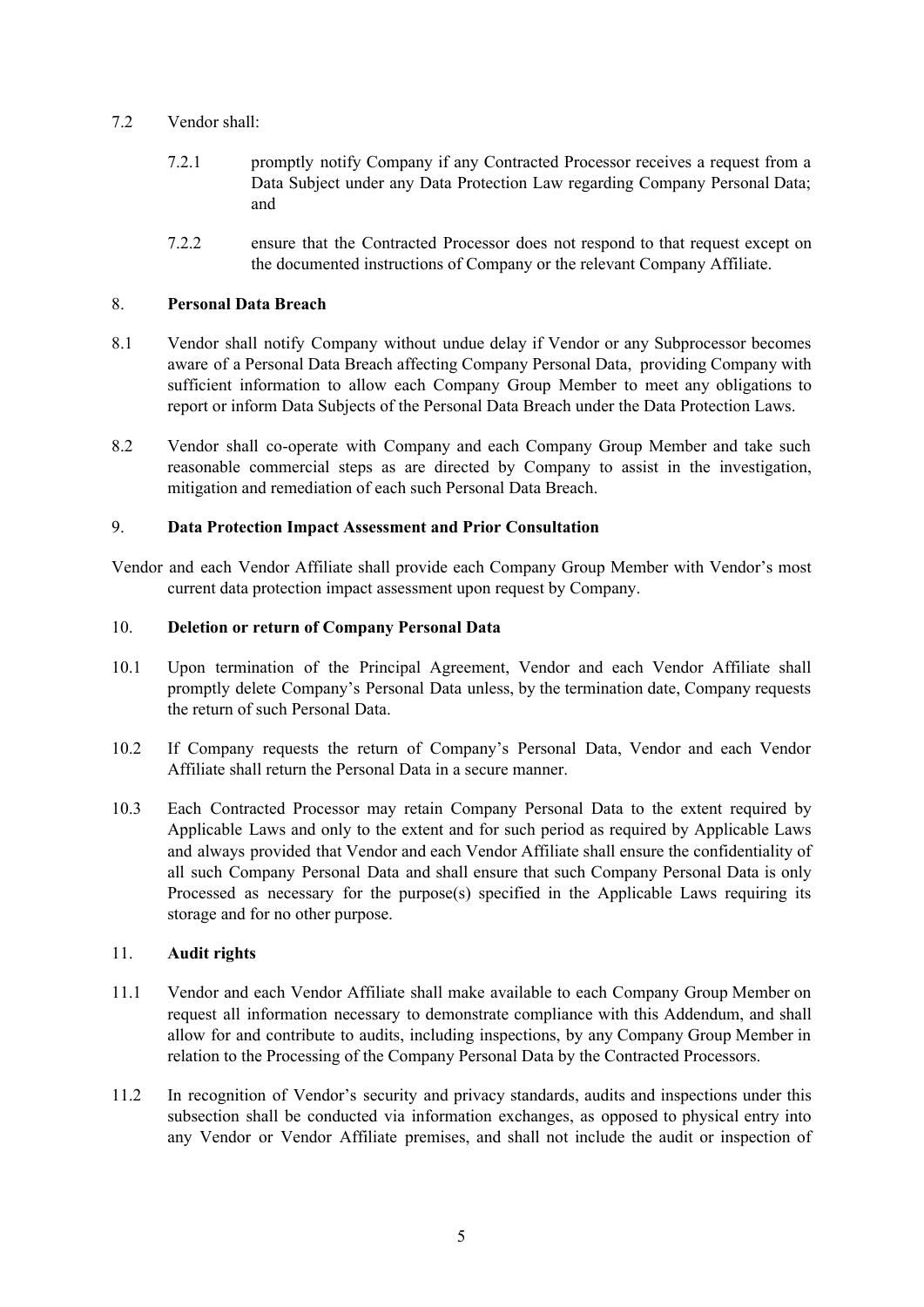## 7.2 Vendor shall:

- 7.2.1 promptly notify Company if any Contracted Processor receives a request from a Data Subject under any Data Protection Law regarding Company Personal Data; and
- 7.2.2 ensure that the Contracted Processor does not respond to that request except on the documented instructions of Company or the relevant Company Affiliate.

## 8. **Personal Data Breach**

- 8.1 Vendor shall notify Company without undue delay if Vendor or any Subprocessor becomes aware of a Personal Data Breach affecting Company Personal Data, providing Company with sufficient information to allow each Company Group Member to meet any obligations to report or inform Data Subjects of the Personal Data Breach under the Data Protection Laws.
- 8.2 Vendor shall co-operate with Company and each Company Group Member and take such reasonable commercial steps as are directed by Company to assist in the investigation, mitigation and remediation of each such Personal Data Breach.

## 9. **Data Protection Impact Assessment and Prior Consultation**

Vendor and each Vendor Affiliate shall provide each Company Group Member with Vendor's most current data protection impact assessment upon request by Company.

## 10. **Deletion or return of Company Personal Data**

- 10.1 Upon termination of the Principal Agreement, Vendor and each Vendor Affiliate shall promptly delete Company's Personal Data unless, by the termination date, Company requests the return of such Personal Data.
- 10.2 If Company requests the return of Company's Personal Data, Vendor and each Vendor Affiliate shall return the Personal Data in a secure manner.
- 10.3 Each Contracted Processor may retain Company Personal Data to the extent required by Applicable Laws and only to the extent and for such period as required by Applicable Laws and always provided that Vendor and each Vendor Affiliate shall ensure the confidentiality of all such Company Personal Data and shall ensure that such Company Personal Data is only Processed as necessary for the purpose(s) specified in the Applicable Laws requiring its storage and for no other purpose.

#### 11. **Audit rights**

- 11.1 Vendor and each Vendor Affiliate shall make available to each Company Group Member on request all information necessary to demonstrate compliance with this Addendum, and shall allow for and contribute to audits, including inspections, by any Company Group Member in relation to the Processing of the Company Personal Data by the Contracted Processors.
- 11.2 In recognition of Vendor's security and privacy standards, audits and inspections under this subsection shall be conducted via information exchanges, as opposed to physical entry into any Vendor or Vendor Affiliate premises, and shall not include the audit or inspection of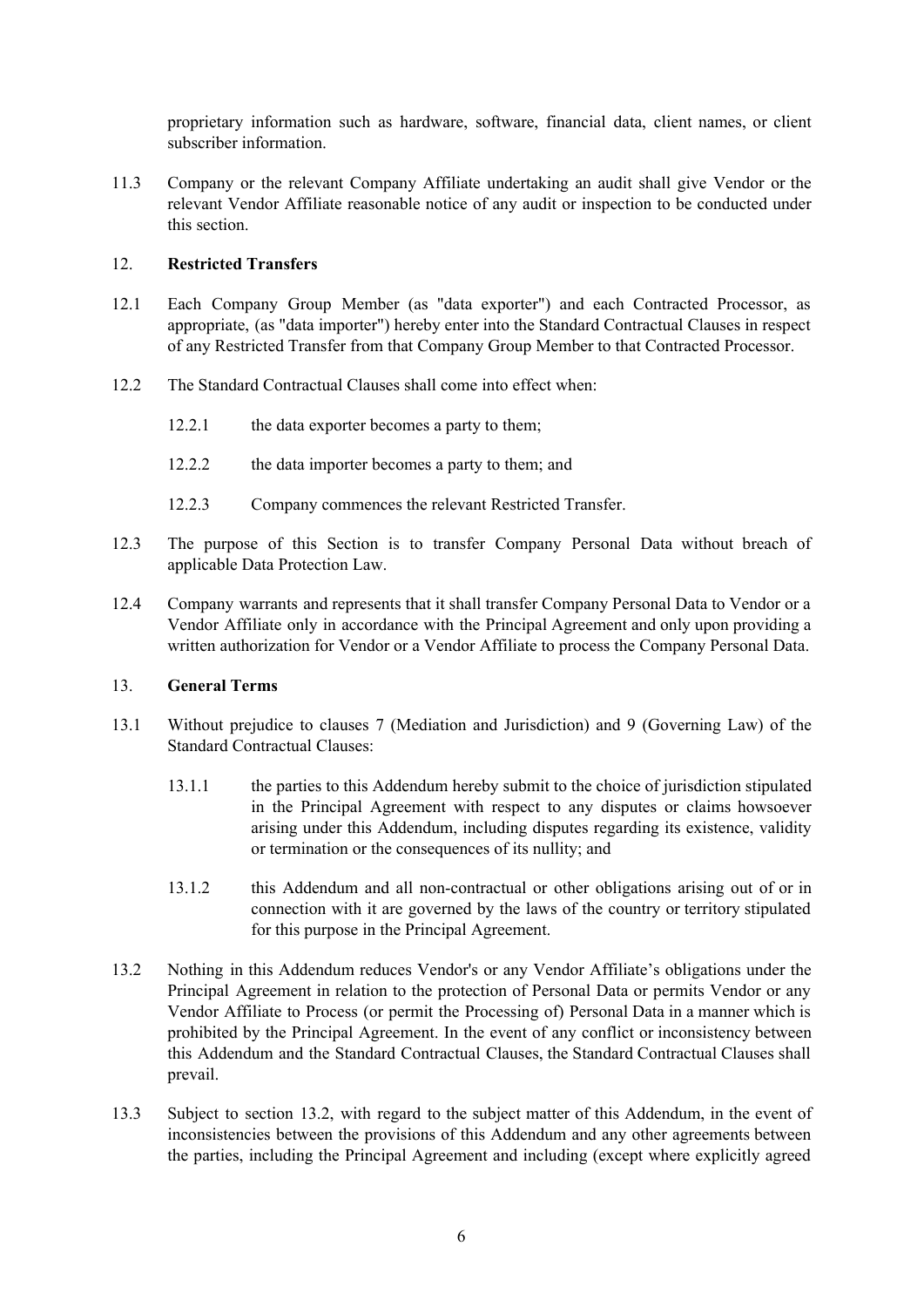proprietary information such as hardware, software, financial data, client names, or client subscriber information.

<span id="page-5-0"></span>11.3 Company or the relevant Company Affiliate undertaking an audit shall give Vendor or the relevant Vendor Affiliate reasonable notice of any audit or inspection to be conducted under this section.

## 12. **Restricted Transfers**

- 12.1 Each Company Group Member (as "data exporter") and each Contracted Processor, as appropriate, (as "data importer") hereby enter into the Standard Contractual Clauses in respect of any Restricted Transfer from that Company Group Member to that Contracted Processor.
- 12.2 The Standard Contractual Clauses shall come into effect when:
	- 12.2.1 the data exporter becomes a party to them;
	- 12.2.2 the data importer becomes a party to them; and
	- 12.2.3 Company commences the relevant Restricted Transfer.
- 12.3 The purpose of this Section is to transfer Company Personal Data without breach of applicable Data Protection Law.
- 12.4 Company warrants and represents that it shall transfer Company Personal Data to Vendor or a Vendor Affiliate only in accordance with the Principal Agreement and only upon providing a written authorization for Vendor or a Vendor Affiliate to process the Company Personal Data.

#### 13. **General Terms**

- 13.1 Without prejudice to clauses 7 (Mediation and Jurisdiction) and 9 (Governing Law) of the Standard Contractual Clauses:
	- 13.1.1 the parties to this Addendum hereby submit to the choice of jurisdiction stipulated in the Principal Agreement with respect to any disputes or claims howsoever arising under this Addendum, including disputes regarding its existence, validity or termination or the consequences of its nullity; and
	- 13.1.2 this Addendum and all non-contractual or other obligations arising out of or in connection with it are governed by the laws of the country or territory stipulated for this purpose in the Principal Agreement.
- <span id="page-5-1"></span>13.2 Nothing in this Addendum reduces Vendor's or any Vendor Affiliate's obligations under the Principal Agreement in relation to the protection of Personal Data or permits Vendor or any Vendor Affiliate to Process (or permit the Processing of) Personal Data in a manner which is prohibited by the Principal Agreement. In the event of any conflict or inconsistency between this Addendum and the Standard Contractual Clauses, the Standard Contractual Clauses shall prevail.
- 13.3 Subject to section [13.2](#page-5-1), with regard to the subject matter of this Addendum, in the event of inconsistencies between the provisions of this Addendum and any other agreements between the parties, including the Principal Agreement and including (except where explicitly agreed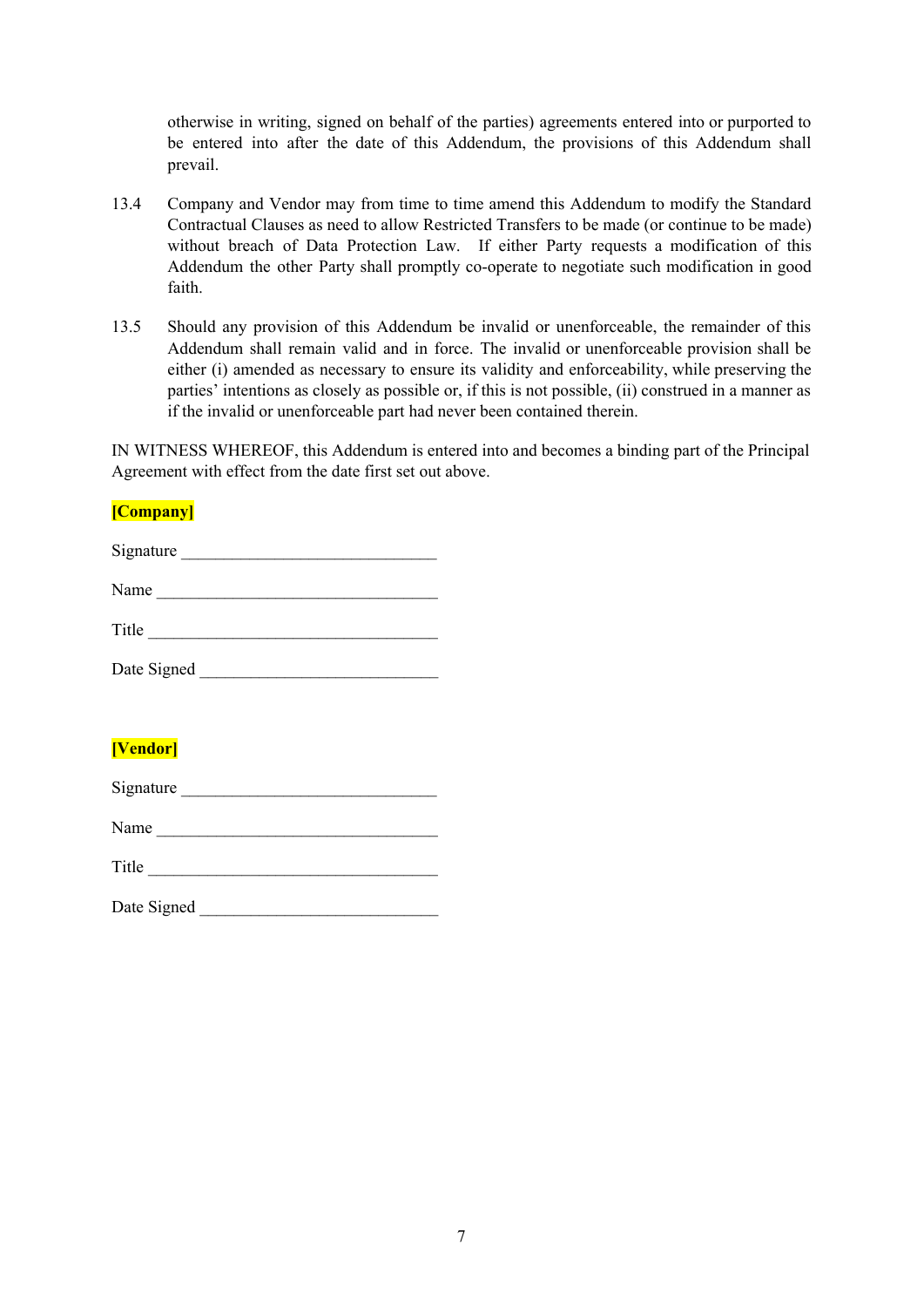otherwise in writing, signed on behalf of the parties) agreements entered into or purported to be entered into after the date of this Addendum, the provisions of this Addendum shall prevail.

- 13.4 Company and Vendor may from time to time amend this Addendum to modify the Standard Contractual Clauses as need to allow Restricted Transfers to be made (or continue to be made) without breach of Data Protection Law. If either Party requests a modification of this Addendum the other Party shall promptly co-operate to negotiate such modification in good faith.
- 13.5 Should any provision of this Addendum be invalid or unenforceable, the remainder of this Addendum shall remain valid and in force. The invalid or unenforceable provision shall be either (i) amended as necessary to ensure its validity and enforceability, while preserving the parties' intentions as closely as possible or, if this is not possible, (ii) construed in a manner as if the invalid or unenforceable part had never been contained therein.

IN WITNESS WHEREOF, this Addendum is entered into and becomes a binding part of the Principal Agreement with effect from the date first set out above.

## **[Company]**

| Signature   |  |  |
|-------------|--|--|
| Name        |  |  |
| Title       |  |  |
| Date Signed |  |  |

# **[Vendor]**

| Signature |  |  |  |
|-----------|--|--|--|
|           |  |  |  |
| Name      |  |  |  |

| Title |  |  |  |
|-------|--|--|--|
|       |  |  |  |

| Date Signed |
|-------------|
|-------------|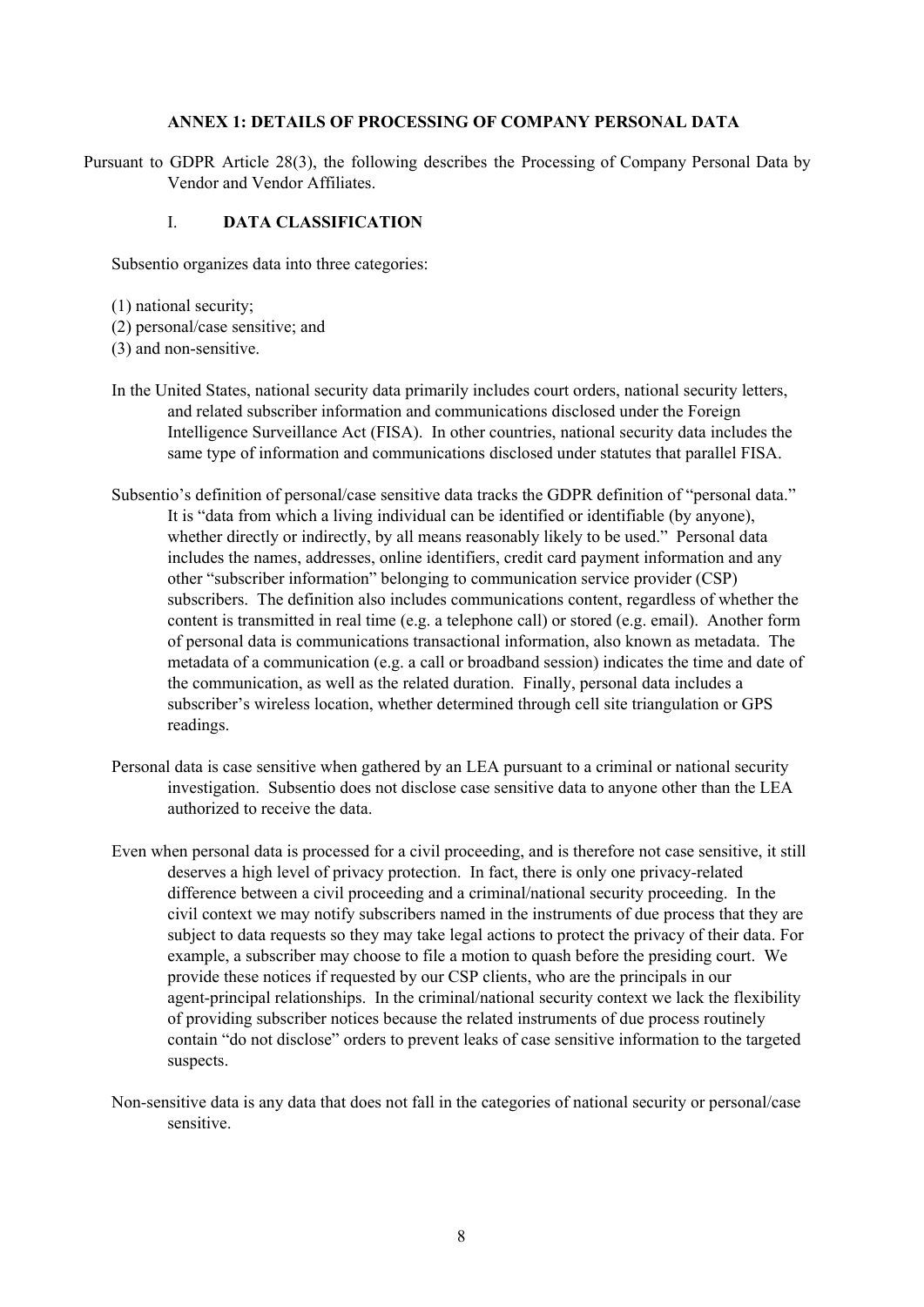#### **ANNEX 1: DETAILS OF PROCESSING OF COMPANY PERSONAL DATA**

Pursuant to GDPR Article 28(3), the following describes the Processing of Company Personal Data by Vendor and Vendor Affiliates.

### I. **DATA CLASSIFICATION**

Subsentio organizes data into three categories:

- (1) national security;
- (2) personal/case sensitive; and
- (3) and non-sensitive.
- In the United States, national security data primarily includes court orders, national security letters, and related subscriber information and communications disclosed under the Foreign Intelligence Surveillance Act (FISA). In other countries, national security data includes the same type of information and communications disclosed under statutes that parallel FISA.
- Subsentio's definition of personal/case sensitive data tracks the GDPR definition of "personal data." It is "data from which a living individual can be identified or identifiable (by anyone), whether directly or indirectly, by all means reasonably likely to be used." Personal data includes the names, addresses, online identifiers, credit card payment information and any other "subscriber information" belonging to communication service provider (CSP) subscribers. The definition also includes communications content, regardless of whether the content is transmitted in real time (e.g. a telephone call) or stored (e.g. email). Another form of personal data is communications transactional information, also known as metadata. The metadata of a communication (e.g. a call or broadband session) indicates the time and date of the communication, as well as the related duration. Finally, personal data includes a subscriber's wireless location, whether determined through cell site triangulation or GPS readings.
- Personal data is case sensitive when gathered by an LEA pursuant to a criminal or national security investigation. Subsentio does not disclose case sensitive data to anyone other than the LEA authorized to receive the data.
- Even when personal data is processed for a civil proceeding, and is therefore not case sensitive, it still deserves a high level of privacy protection. In fact, there is only one privacy-related difference between a civil proceeding and a criminal/national security proceeding. In the civil context we may notify subscribers named in the instruments of due process that they are subject to data requests so they may take legal actions to protect the privacy of their data. For example, a subscriber may choose to file a motion to quash before the presiding court. We provide these notices if requested by our CSP clients, who are the principals in our agent-principal relationships. In the criminal/national security context we lack the flexibility of providing subscriber notices because the related instruments of due process routinely contain "do not disclose" orders to prevent leaks of case sensitive information to the targeted suspects.
- Non-sensitive data is any data that does not fall in the categories of national security or personal/case sensitive.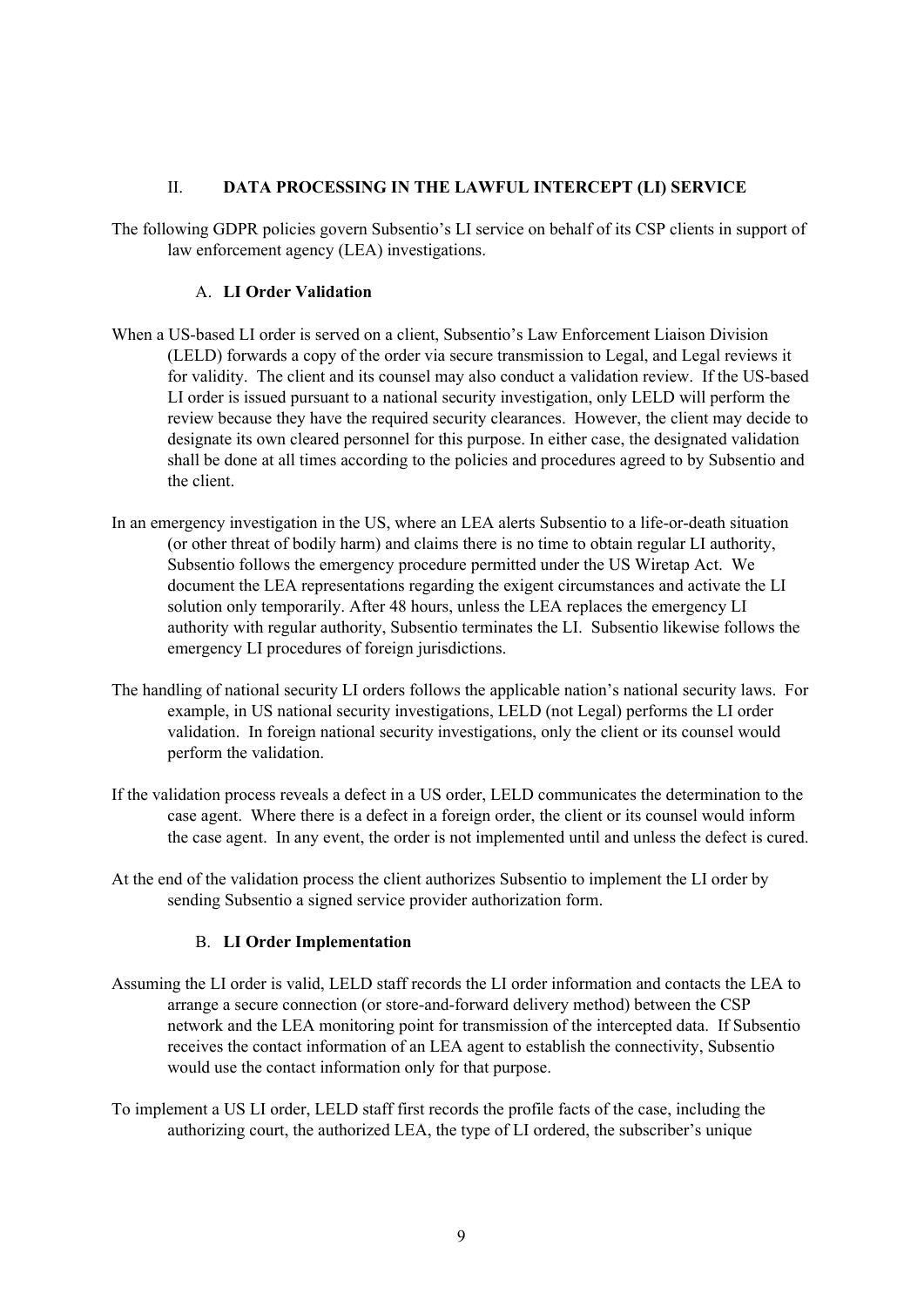## II. **DATA PROCESSING IN THE LAWFUL INTERCEPT (LI) SERVICE**

The following GDPR policies govern Subsentio's LI service on behalf of its CSP clients in support of law enforcement agency (LEA) investigations.

## A. **LI Order Validation**

- When a US-based LI order is served on a client, Subsentio's Law Enforcement Liaison Division (LELD) forwards a copy of the order via secure transmission to Legal, and Legal reviews it for validity. The client and its counsel may also conduct a validation review. If the US-based LI order is issued pursuant to a national security investigation, only LELD will perform the review because they have the required security clearances. However, the client may decide to designate its own cleared personnel for this purpose. In either case, the designated validation shall be done at all times according to the policies and procedures agreed to by Subsentio and the client.
- In an emergency investigation in the US, where an LEA alerts Subsentio to a life-or-death situation (or other threat of bodily harm) and claims there is no time to obtain regular LI authority, Subsentio follows the emergency procedure permitted under the US Wiretap Act. We document the LEA representations regarding the exigent circumstances and activate the LI solution only temporarily. After 48 hours, unless the LEA replaces the emergency LI authority with regular authority, Subsentio terminates the LI. Subsentio likewise follows the emergency LI procedures of foreign jurisdictions.
- The handling of national security LI orders follows the applicable nation's national security laws. For example, in US national security investigations, LELD (not Legal) performs the LI order validation. In foreign national security investigations, only the client or its counsel would perform the validation.
- If the validation process reveals a defect in a US order, LELD communicates the determination to the case agent. Where there is a defect in a foreign order, the client or its counsel would inform the case agent. In any event, the order is not implemented until and unless the defect is cured.
- At the end of the validation process the client authorizes Subsentio to implement the LI order by sending Subsentio a signed service provider authorization form.

#### B. **LI Order Implementation**

- Assuming the LI order is valid, LELD staff records the LI order information and contacts the LEA to arrange a secure connection (or store-and-forward delivery method) between the CSP network and the LEA monitoring point for transmission of the intercepted data. If Subsentio receives the contact information of an LEA agent to establish the connectivity, Subsentio would use the contact information only for that purpose.
- To implement a US LI order, LELD staff first records the profile facts of the case, including the authorizing court, the authorized LEA, the type of LI ordered, the subscriber's unique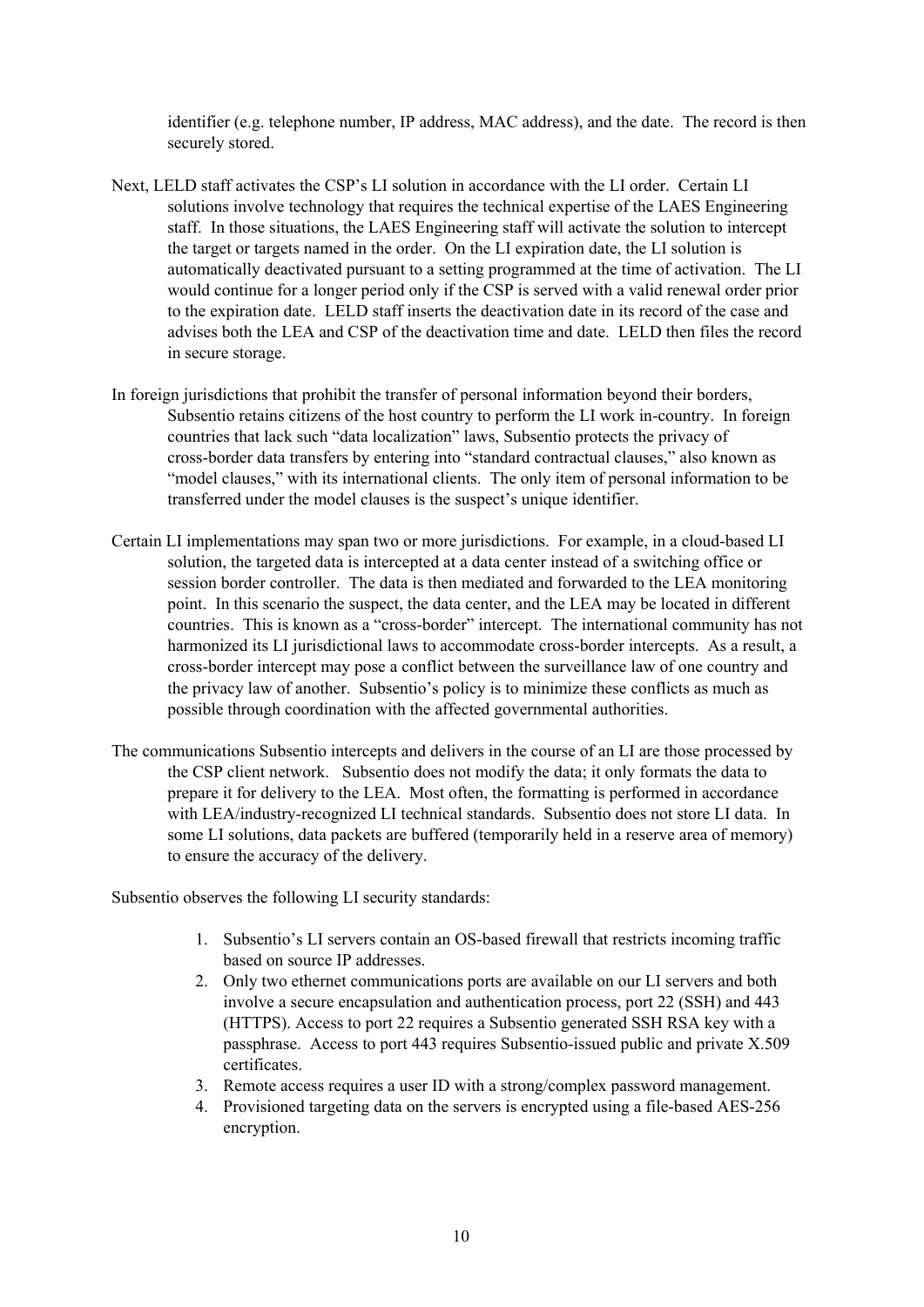identifier (e.g. telephone number, IP address, MAC address), and the date. The record is then securely stored.

- Next, LELD staff activates the CSP's LI solution in accordance with the LI order. Certain LI solutions involve technology that requires the technical expertise of the LAES Engineering staff. In those situations, the LAES Engineering staff will activate the solution to intercept the target or targets named in the order. On the LI expiration date, the LI solution is automatically deactivated pursuant to a setting programmed at the time of activation. The LI would continue for a longer period only if the CSP is served with a valid renewal order prior to the expiration date. LELD staff inserts the deactivation date in its record of the case and advises both the LEA and CSP of the deactivation time and date. LELD then files the record in secure storage.
- In foreign jurisdictions that prohibit the transfer of personal information beyond their borders, Subsentio retains citizens of the host country to perform the LI work in-country. In foreign countries that lack such "data localization" laws, Subsentio protects the privacy of cross-border data transfers by entering into "standard contractual clauses," also known as "model clauses," with its international clients. The only item of personal information to be transferred under the model clauses is the suspect's unique identifier.
- Certain LI implementations may span two or more jurisdictions. For example, in a cloud-based LI solution, the targeted data is intercepted at a data center instead of a switching office or session border controller. The data is then mediated and forwarded to the LEA monitoring point. In this scenario the suspect, the data center, and the LEA may be located in different countries. This is known as a "cross-border" intercept. The international community has not harmonized its LI jurisdictional laws to accommodate cross-border intercepts. As a result, a cross-border intercept may pose a conflict between the surveillance law of one country and the privacy law of another. Subsentio's policy is to minimize these conflicts as much as possible through coordination with the affected governmental authorities.
- The communications Subsentio intercepts and delivers in the course of an LI are those processed by the CSP client network. Subsentio does not modify the data; it only formats the data to prepare it for delivery to the LEA. Most often, the formatting is performed in accordance with LEA/industry-recognized LI technical standards. Subsentio does not store LI data. In some LI solutions, data packets are buffered (temporarily held in a reserve area of memory) to ensure the accuracy of the delivery.

Subsentio observes the following LI security standards:

- 1. Subsentio's LI servers contain an OS-based firewall that restricts incoming traffic based on source IP addresses.
- 2. Only two ethernet communications ports are available on our LI servers and both involve a secure encapsulation and authentication process, port 22 (SSH) and 443 (HTTPS). Access to port 22 requires a Subsentio generated SSH RSA key with a passphrase. Access to port 443 requires Subsentio-issued public and private X.509 certificates.
- 3. Remote access requires a user ID with a strong/complex password management.
- 4. Provisioned targeting data on the servers is encrypted using a file-based AES-256 encryption.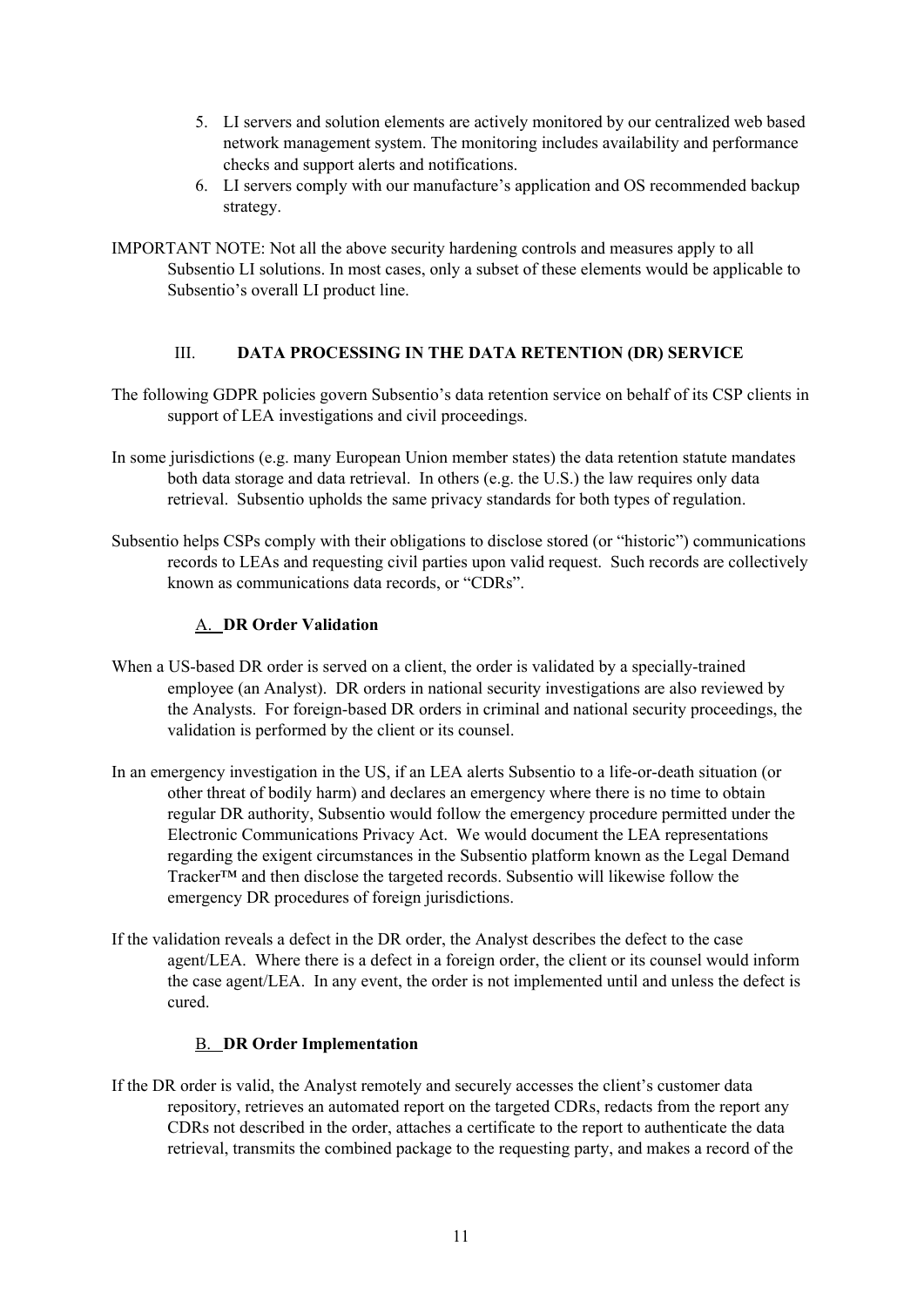- 5. LI servers and solution elements are actively monitored by our centralized web based network management system. The monitoring includes availability and performance checks and support alerts and notifications.
- 6. LI servers comply with our manufacture's application and OS recommended backup strategy.
- IMPORTANT NOTE: Not all the above security hardening controls and measures apply to all Subsentio LI solutions. In most cases, only a subset of these elements would be applicable to Subsentio's overall LI product line.

## III. **DATA PROCESSING IN THE DATA RETENTION (DR) SERVICE**

- The following GDPR policies govern Subsentio's data retention service on behalf of its CSP clients in support of LEA investigations and civil proceedings.
- In some jurisdictions (e.g. many European Union member states) the data retention statute mandates both data storage and data retrieval. In others (e.g. the U.S.) the law requires only data retrieval. Subsentio upholds the same privacy standards for both types of regulation.
- Subsentio helps CSPs comply with their obligations to disclose stored (or "historic") communications records to LEAs and requesting civil parties upon valid request. Such records are collectively known as communications data records, or "CDRs".

## A. **DR Order Validation**

- When a US-based DR order is served on a client, the order is validated by a specially-trained employee (an Analyst). DR orders in national security investigations are also reviewed by the Analysts. For foreign-based DR orders in criminal and national security proceedings, the validation is performed by the client or its counsel.
- In an emergency investigation in the US, if an LEA alerts Subsentio to a life-or-death situation (or other threat of bodily harm) and declares an emergency where there is no time to obtain regular DR authority, Subsentio would follow the emergency procedure permitted under the Electronic Communications Privacy Act. We would document the LEA representations regarding the exigent circumstances in the Subsentio platform known as the Legal Demand Tracker™ and then disclose the targeted records. Subsentio will likewise follow the emergency DR procedures of foreign jurisdictions.
- If the validation reveals a defect in the DR order, the Analyst describes the defect to the case agent/LEA. Where there is a defect in a foreign order, the client or its counsel would inform the case agent/LEA. In any event, the order is not implemented until and unless the defect is cured.

## B. **DR Order Implementation**

If the DR order is valid, the Analyst remotely and securely accesses the client's customer data repository, retrieves an automated report on the targeted CDRs, redacts from the report any CDRs not described in the order, attaches a certificate to the report to authenticate the data retrieval, transmits the combined package to the requesting party, and makes a record of the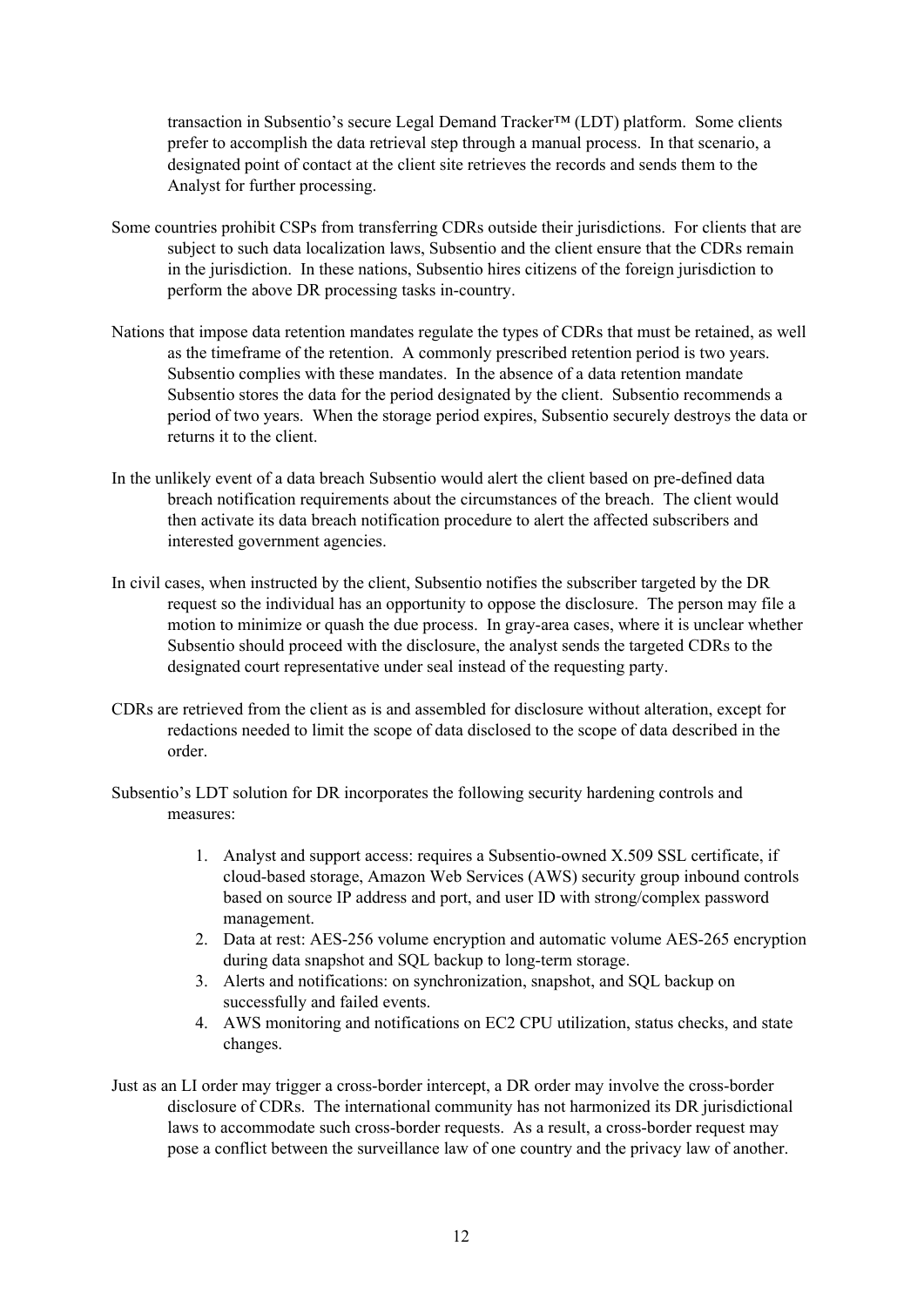transaction in Subsentio's secure Legal Demand Tracker™ (LDT) platform. Some clients prefer to accomplish the data retrieval step through a manual process. In that scenario, a designated point of contact at the client site retrieves the records and sends them to the Analyst for further processing.

- Some countries prohibit CSPs from transferring CDRs outside their jurisdictions. For clients that are subject to such data localization laws, Subsentio and the client ensure that the CDRs remain in the jurisdiction. In these nations, Subsentio hires citizens of the foreign jurisdiction to perform the above DR processing tasks in-country.
- Nations that impose data retention mandates regulate the types of CDRs that must be retained, as well as the timeframe of the retention. A commonly prescribed retention period is two years. Subsentio complies with these mandates. In the absence of a data retention mandate Subsentio stores the data for the period designated by the client. Subsentio recommends a period of two years. When the storage period expires, Subsentio securely destroys the data or returns it to the client.
- In the unlikely event of a data breach Subsentio would alert the client based on pre-defined data breach notification requirements about the circumstances of the breach. The client would then activate its data breach notification procedure to alert the affected subscribers and interested government agencies.
- In civil cases, when instructed by the client, Subsentio notifies the subscriber targeted by the DR request so the individual has an opportunity to oppose the disclosure. The person may file a motion to minimize or quash the due process. In gray-area cases, where it is unclear whether Subsentio should proceed with the disclosure, the analyst sends the targeted CDRs to the designated court representative under seal instead of the requesting party.
- CDRs are retrieved from the client as is and assembled for disclosure without alteration, except for redactions needed to limit the scope of data disclosed to the scope of data described in the order.
- Subsentio's LDT solution for DR incorporates the following security hardening controls and measures:
	- 1. Analyst and support access: requires a Subsentio-owned X.509 SSL certificate, if cloud-based storage, Amazon Web Services (AWS) security group inbound controls based on source IP address and port, and user ID with strong/complex password management.
	- 2. Data at rest: AES-256 volume encryption and automatic volume AES-265 encryption during data snapshot and SQL backup to long-term storage.
	- 3. Alerts and notifications: on synchronization, snapshot, and SQL backup on successfully and failed events.
	- 4. AWS monitoring and notifications on EC2 CPU utilization, status checks, and state changes.
- Just as an LI order may trigger a cross-border intercept, a DR order may involve the cross-border disclosure of CDRs. The international community has not harmonized its DR jurisdictional laws to accommodate such cross-border requests. As a result, a cross-border request may pose a conflict between the surveillance law of one country and the privacy law of another.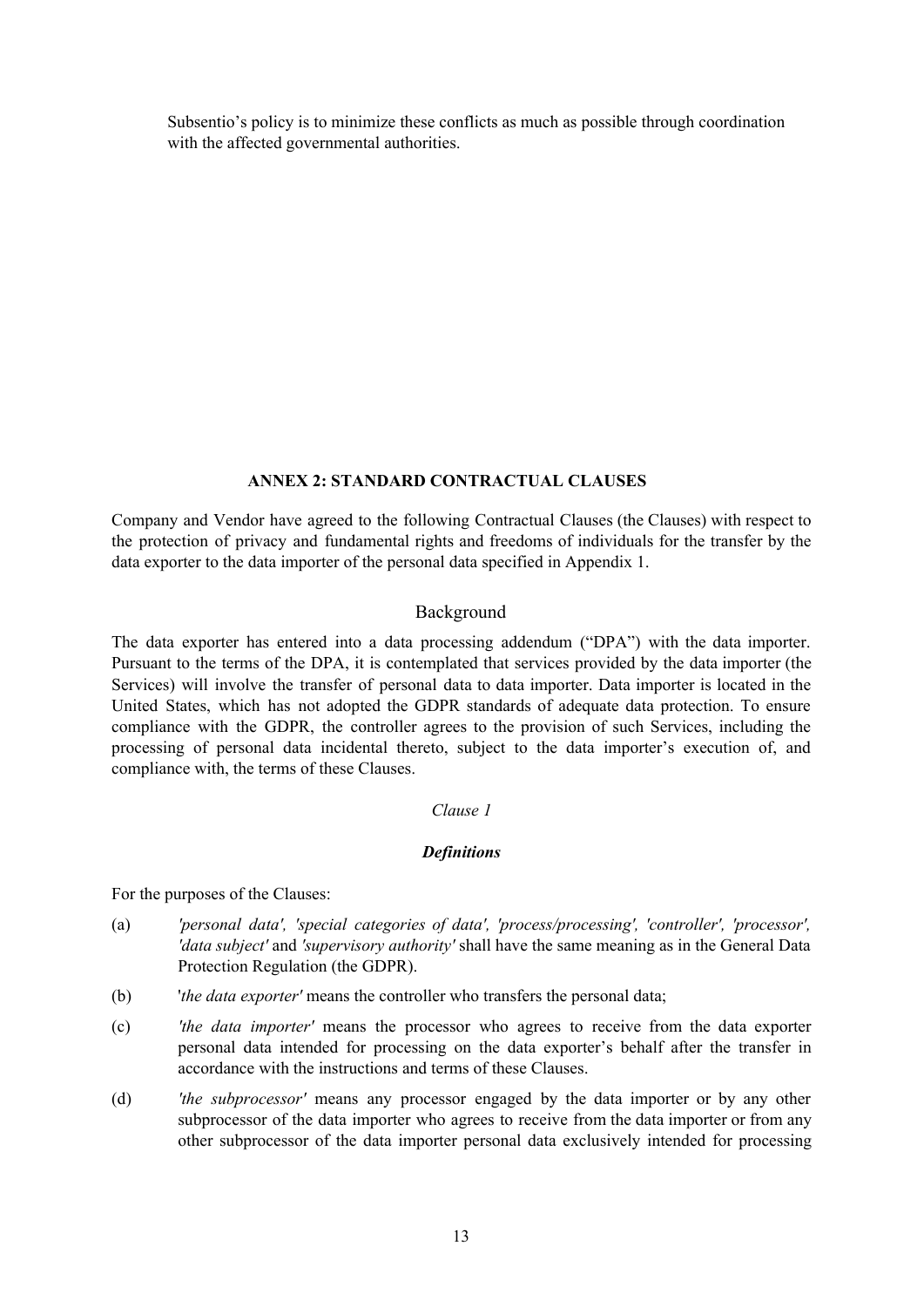Subsentio's policy is to minimize these conflicts as much as possible through coordination with the affected governmental authorities.

## **ANNEX 2: STANDARD CONTRACTUAL CLAUSES**

Company and Vendor have agreed to the following Contractual Clauses (the Clauses) with respect to the protection of privacy and fundamental rights and freedoms of individuals for the transfer by the data exporter to the data importer of the personal data specified in Appendix 1.

## Background

The data exporter has entered into a data processing addendum ("DPA") with the data importer. Pursuant to the terms of the DPA, it is contemplated that services provided by the data importer (the Services) will involve the transfer of personal data to data importer. Data importer is located in the United States, which has not adopted the GDPR standards of adequate data protection. To ensure compliance with the GDPR, the controller agrees to the provision of such Services, including the processing of personal data incidental thereto, subject to the data importer's execution of, and compliance with, the terms of these Clauses.

### *Clause 1*

#### *Definitions*

For the purposes of the Clauses:

- (a) *'personal data', 'special categories of data', 'process/processing', 'controller', 'processor', 'data subject'* and *'supervisory authority'* shall have the same meaning as in the General Data Protection Regulation (the GDPR).
- (b) '*the data exporter'* means the controller who transfers the personal data;
- (c) *'the data importer'* means the processor who agrees to receive from the data exporter personal data intended for processing on the data exporter's behalf after the transfer in accordance with the instructions and terms of these Clauses.
- (d) *'the subprocessor'* means any processor engaged by the data importer or by any other subprocessor of the data importer who agrees to receive from the data importer or from any other subprocessor of the data importer personal data exclusively intended for processing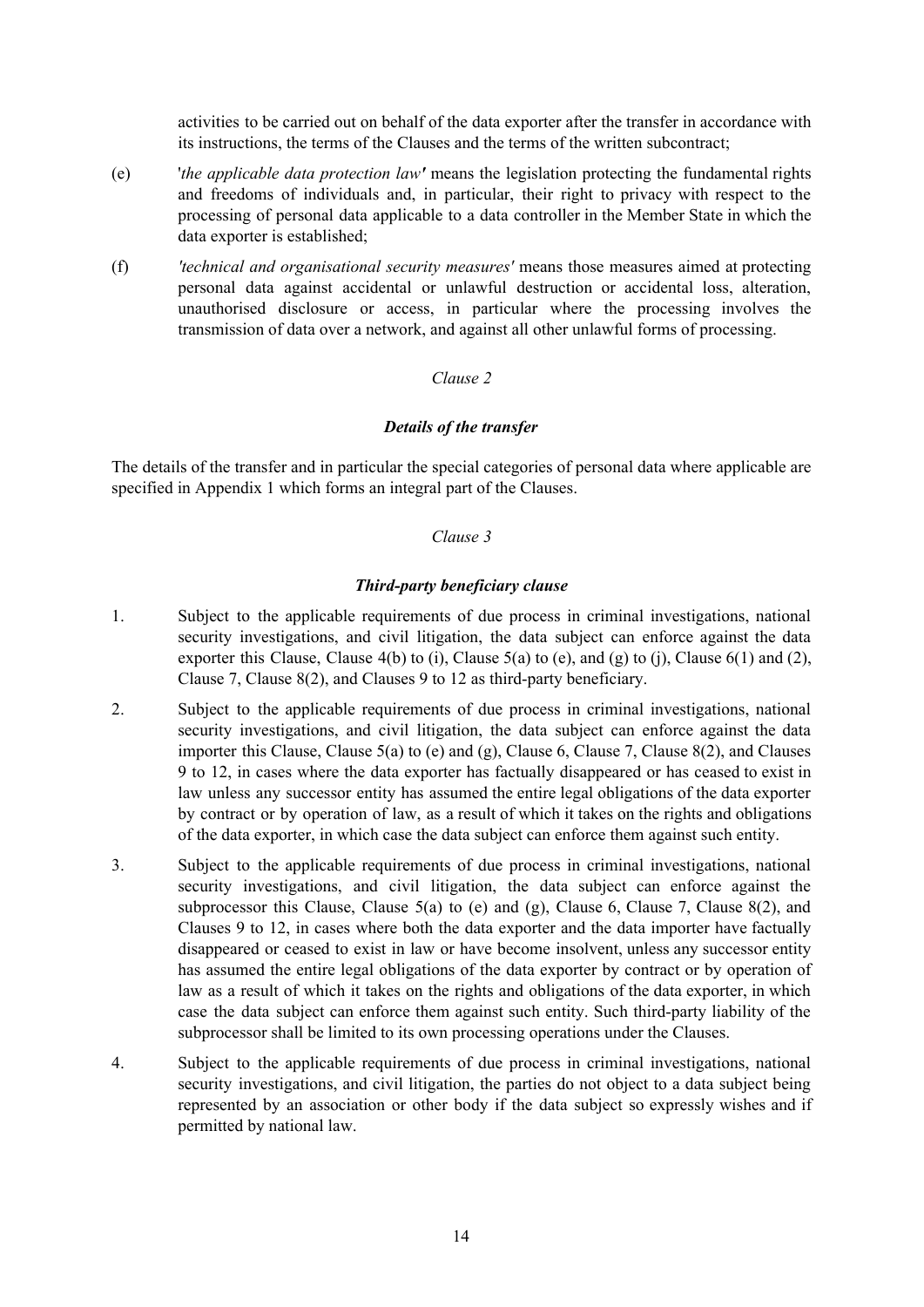activities to be carried out on behalf of the data exporter after the transfer in accordance with its instructions, the terms of the Clauses and the terms of the written subcontract;

- (e) '*the applicable data protection law'* means the legislation protecting the fundamental rights and freedoms of individuals and, in particular, their right to privacy with respect to the processing of personal data applicable to a data controller in the Member State in which the data exporter is established;
- (f) *'technical and organisational security measures'* means those measures aimed at protecting personal data against accidental or unlawful destruction or accidental loss, alteration, unauthorised disclosure or access, in particular where the processing involves the transmission of data over a network, and against all other unlawful forms of processing.

## *Clause 2*

#### *Details of the transfer*

The details of the transfer and in particular the special categories of personal data where applicable are specified in Appendix 1 which forms an integral part of the Clauses.

#### *Clause 3*

#### *Third-party beneficiary clause*

- 1. Subject to the applicable requirements of due process in criminal investigations, national security investigations, and civil litigation, the data subject can enforce against the data exporter this Clause, Clause  $4(b)$  to (i), Clause  $5(a)$  to (e), and (g) to (j), Clause  $6(1)$  and (2), Clause 7, Clause 8(2), and Clauses 9 to 12 as third-party beneficiary.
- 2. Subject to the applicable requirements of due process in criminal investigations, national security investigations, and civil litigation, the data subject can enforce against the data importer this Clause, Clause 5(a) to (e) and (g), Clause 6, Clause 7, Clause 8(2), and Clauses 9 to 12, in cases where the data exporter has factually disappeared or has ceased to exist in law unless any successor entity has assumed the entire legal obligations of the data exporter by contract or by operation of law, as a result of which it takes on the rights and obligations of the data exporter, in which case the data subject can enforce them against such entity.
- 3. Subject to the applicable requirements of due process in criminal investigations, national security investigations, and civil litigation, the data subject can enforce against the subprocessor this Clause, Clause 5(a) to (e) and (g), Clause 6, Clause 7, Clause 8(2), and Clauses 9 to 12, in cases where both the data exporter and the data importer have factually disappeared or ceased to exist in law or have become insolvent, unless any successor entity has assumed the entire legal obligations of the data exporter by contract or by operation of law as a result of which it takes on the rights and obligations of the data exporter, in which case the data subject can enforce them against such entity. Such third-party liability of the subprocessor shall be limited to its own processing operations under the Clauses.
- 4. Subject to the applicable requirements of due process in criminal investigations, national security investigations, and civil litigation, the parties do not object to a data subject being represented by an association or other body if the data subject so expressly wishes and if permitted by national law.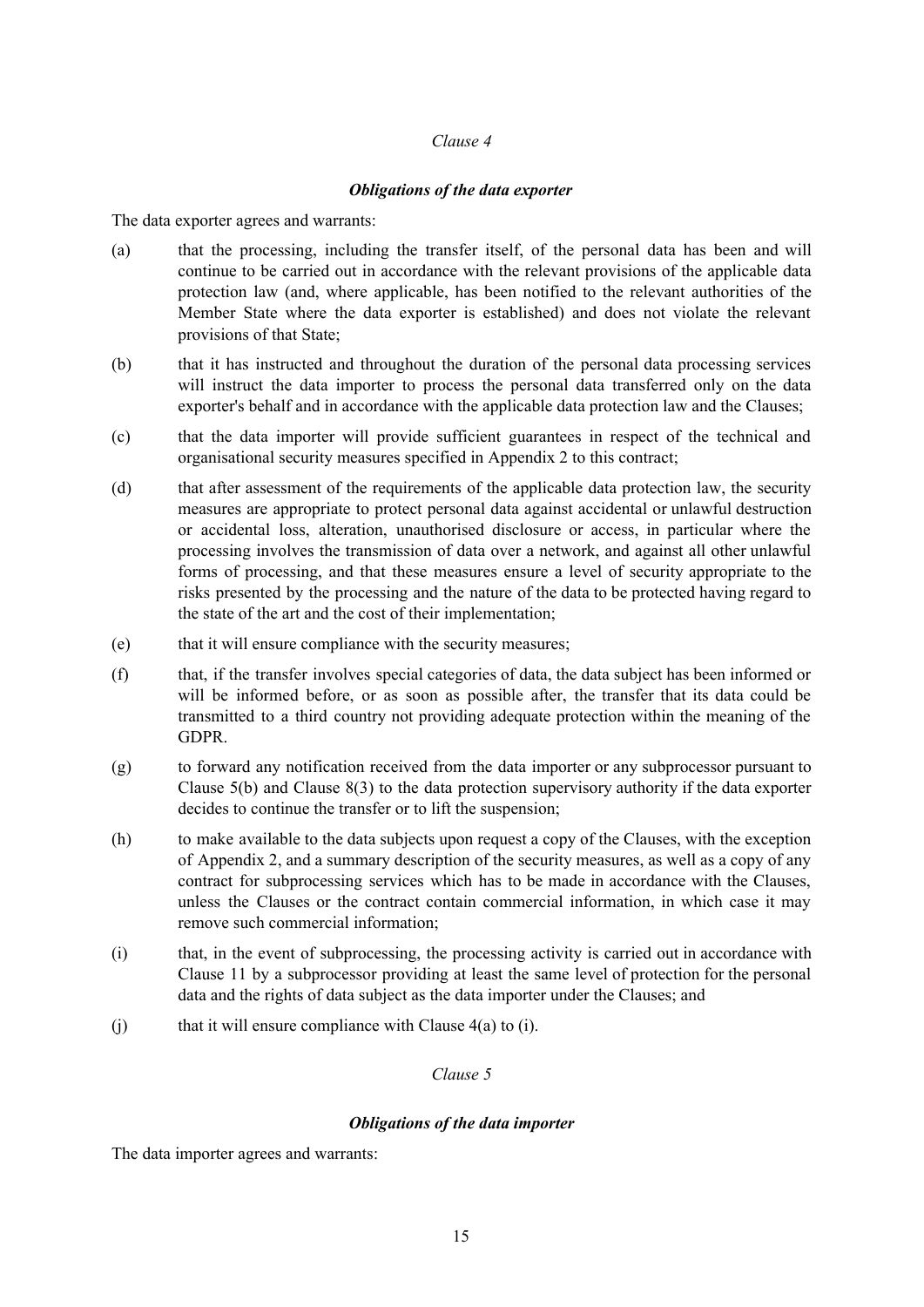#### *Clause 4*

#### *Obligations of the data exporter*

The data exporter agrees and warrants:

- (a) that the processing, including the transfer itself, of the personal data has been and will continue to be carried out in accordance with the relevant provisions of the applicable data protection law (and, where applicable, has been notified to the relevant authorities of the Member State where the data exporter is established) and does not violate the relevant provisions of that State;
- (b) that it has instructed and throughout the duration of the personal data processing services will instruct the data importer to process the personal data transferred only on the data exporter's behalf and in accordance with the applicable data protection law and the Clauses;
- (c) that the data importer will provide sufficient guarantees in respect of the technical and organisational security measures specified in Appendix 2 to this contract;
- (d) that after assessment of the requirements of the applicable data protection law, the security measures are appropriate to protect personal data against accidental or unlawful destruction or accidental loss, alteration, unauthorised disclosure or access, in particular where the processing involves the transmission of data over a network, and against all other unlawful forms of processing, and that these measures ensure a level of security appropriate to the risks presented by the processing and the nature of the data to be protected having regard to the state of the art and the cost of their implementation;
- (e) that it will ensure compliance with the security measures;
- (f) that, if the transfer involves special categories of data, the data subject has been informed or will be informed before, or as soon as possible after, the transfer that its data could be transmitted to a third country not providing adequate protection within the meaning of the GDPR.
- (g) to forward any notification received from the data importer or any subprocessor pursuant to Clause 5(b) and Clause 8(3) to the data protection supervisory authority if the data exporter decides to continue the transfer or to lift the suspension;
- (h) to make available to the data subjects upon request a copy of the Clauses, with the exception of Appendix 2, and a summary description of the security measures, as well as a copy of any contract for subprocessing services which has to be made in accordance with the Clauses, unless the Clauses or the contract contain commercial information, in which case it may remove such commercial information;
- (i) that, in the event of subprocessing, the processing activity is carried out in accordance with Clause 11 by a subprocessor providing at least the same level of protection for the personal data and the rights of data subject as the data importer under the Clauses; and
- (j) that it will ensure compliance with Clause  $4(a)$  to (i).

## *Clause 5*

## *Obligations of the data importer*

The data importer agrees and warrants: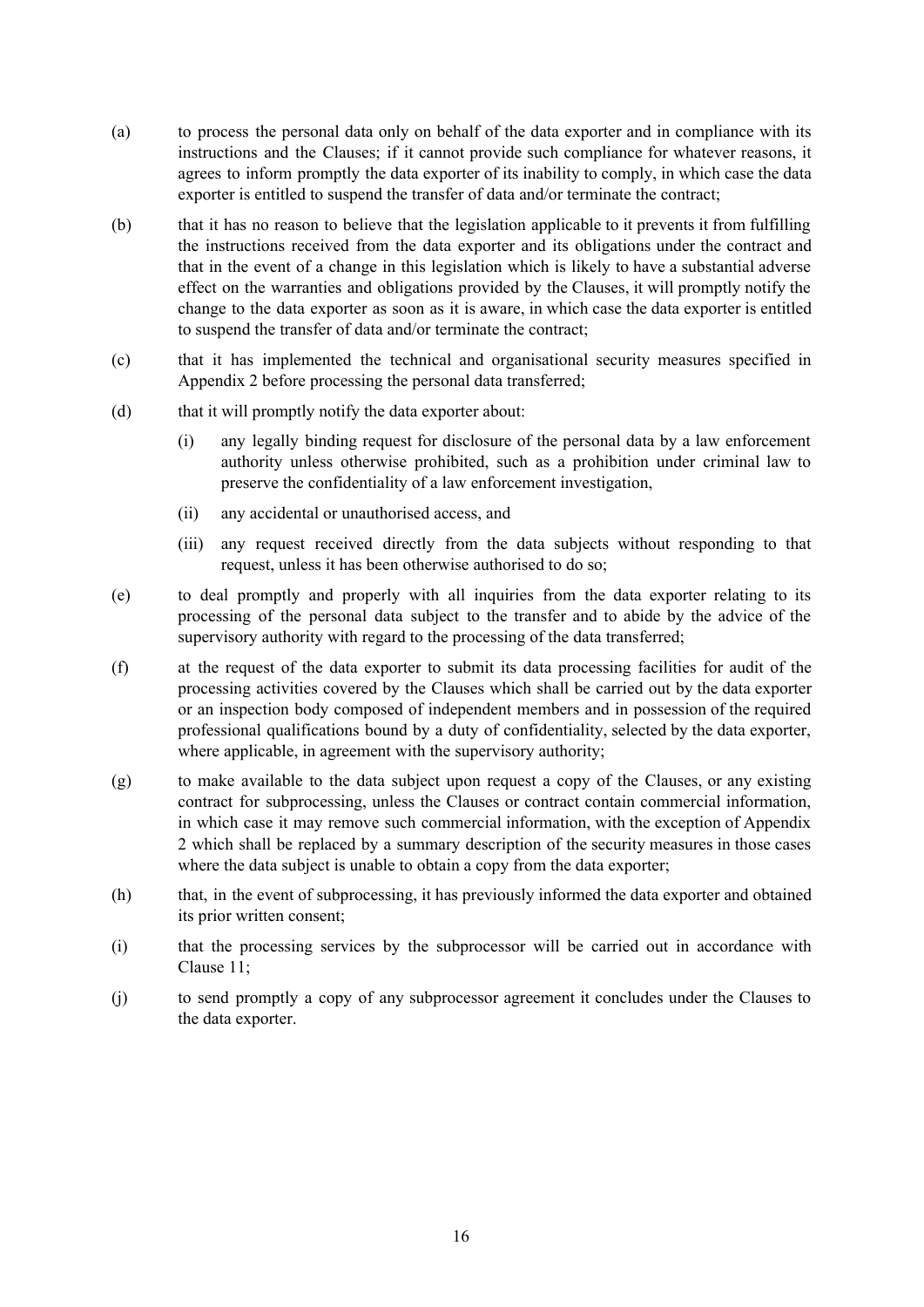- (a) to process the personal data only on behalf of the data exporter and in compliance with its instructions and the Clauses; if it cannot provide such compliance for whatever reasons, it agrees to inform promptly the data exporter of its inability to comply, in which case the data exporter is entitled to suspend the transfer of data and/or terminate the contract;
- (b) that it has no reason to believe that the legislation applicable to it prevents it from fulfilling the instructions received from the data exporter and its obligations under the contract and that in the event of a change in this legislation which is likely to have a substantial adverse effect on the warranties and obligations provided by the Clauses, it will promptly notify the change to the data exporter as soon as it is aware, in which case the data exporter is entitled to suspend the transfer of data and/or terminate the contract;
- (c) that it has implemented the technical and organisational security measures specified in Appendix 2 before processing the personal data transferred;
- (d) that it will promptly notify the data exporter about:
	- (i) any legally binding request for disclosure of the personal data by a law enforcement authority unless otherwise prohibited, such as a prohibition under criminal law to preserve the confidentiality of a law enforcement investigation,
	- (ii) any accidental or unauthorised access, and
	- (iii) any request received directly from the data subjects without responding to that request, unless it has been otherwise authorised to do so;
- (e) to deal promptly and properly with all inquiries from the data exporter relating to its processing of the personal data subject to the transfer and to abide by the advice of the supervisory authority with regard to the processing of the data transferred;
- (f) at the request of the data exporter to submit its data processing facilities for audit of the processing activities covered by the Clauses which shall be carried out by the data exporter or an inspection body composed of independent members and in possession of the required professional qualifications bound by a duty of confidentiality, selected by the data exporter, where applicable, in agreement with the supervisory authority;
- (g) to make available to the data subject upon request a copy of the Clauses, or any existing contract for subprocessing, unless the Clauses or contract contain commercial information, in which case it may remove such commercial information, with the exception of Appendix 2 which shall be replaced by a summary description of the security measures in those cases where the data subject is unable to obtain a copy from the data exporter;
- (h) that, in the event of subprocessing, it has previously informed the data exporter and obtained its prior written consent;
- (i) that the processing services by the subprocessor will be carried out in accordance with Clause 11;
- (j) to send promptly a copy of any subprocessor agreement it concludes under the Clauses to the data exporter.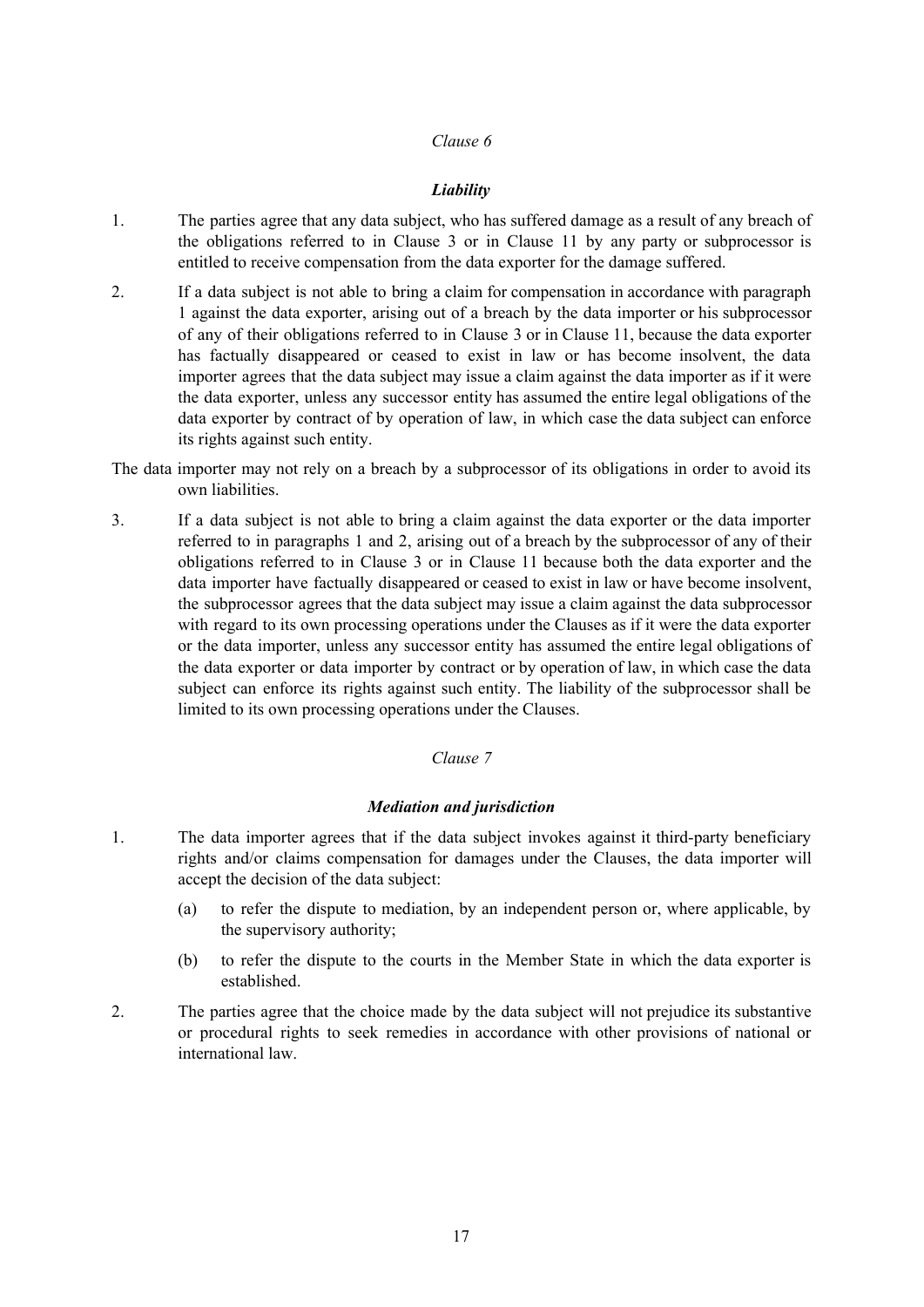#### *Clause 6*

## *Liability*

- 1. The parties agree that any data subject, who has suffered damage as a result of any breach of the obligations referred to in Clause 3 or in Clause 11 by any party or subprocessor is entitled to receive compensation from the data exporter for the damage suffered.
- 2. If a data subject is not able to bring a claim for compensation in accordance with paragraph 1 against the data exporter, arising out of a breach by the data importer or his subprocessor of any of their obligations referred to in Clause 3 or in Clause 11, because the data exporter has factually disappeared or ceased to exist in law or has become insolvent, the data importer agrees that the data subject may issue a claim against the data importer as if it were the data exporter, unless any successor entity has assumed the entire legal obligations of the data exporter by contract of by operation of law, in which case the data subject can enforce its rights against such entity.
- The data importer may not rely on a breach by a subprocessor of its obligations in order to avoid its own liabilities.
- 3. If a data subject is not able to bring a claim against the data exporter or the data importer referred to in paragraphs 1 and 2, arising out of a breach by the subprocessor of any of their obligations referred to in Clause 3 or in Clause 11 because both the data exporter and the data importer have factually disappeared or ceased to exist in law or have become insolvent, the subprocessor agrees that the data subject may issue a claim against the data subprocessor with regard to its own processing operations under the Clauses as if it were the data exporter or the data importer, unless any successor entity has assumed the entire legal obligations of the data exporter or data importer by contract or by operation of law, in which case the data subject can enforce its rights against such entity. The liability of the subprocessor shall be limited to its own processing operations under the Clauses.

## *Clause 7*

#### *Mediation and jurisdiction*

- 1. The data importer agrees that if the data subject invokes against it third-party beneficiary rights and/or claims compensation for damages under the Clauses, the data importer will accept the decision of the data subject:
	- (a) to refer the dispute to mediation, by an independent person or, where applicable, by the supervisory authority;
	- (b) to refer the dispute to the courts in the Member State in which the data exporter is established.
- 2. The parties agree that the choice made by the data subject will not prejudice its substantive or procedural rights to seek remedies in accordance with other provisions of national or international law.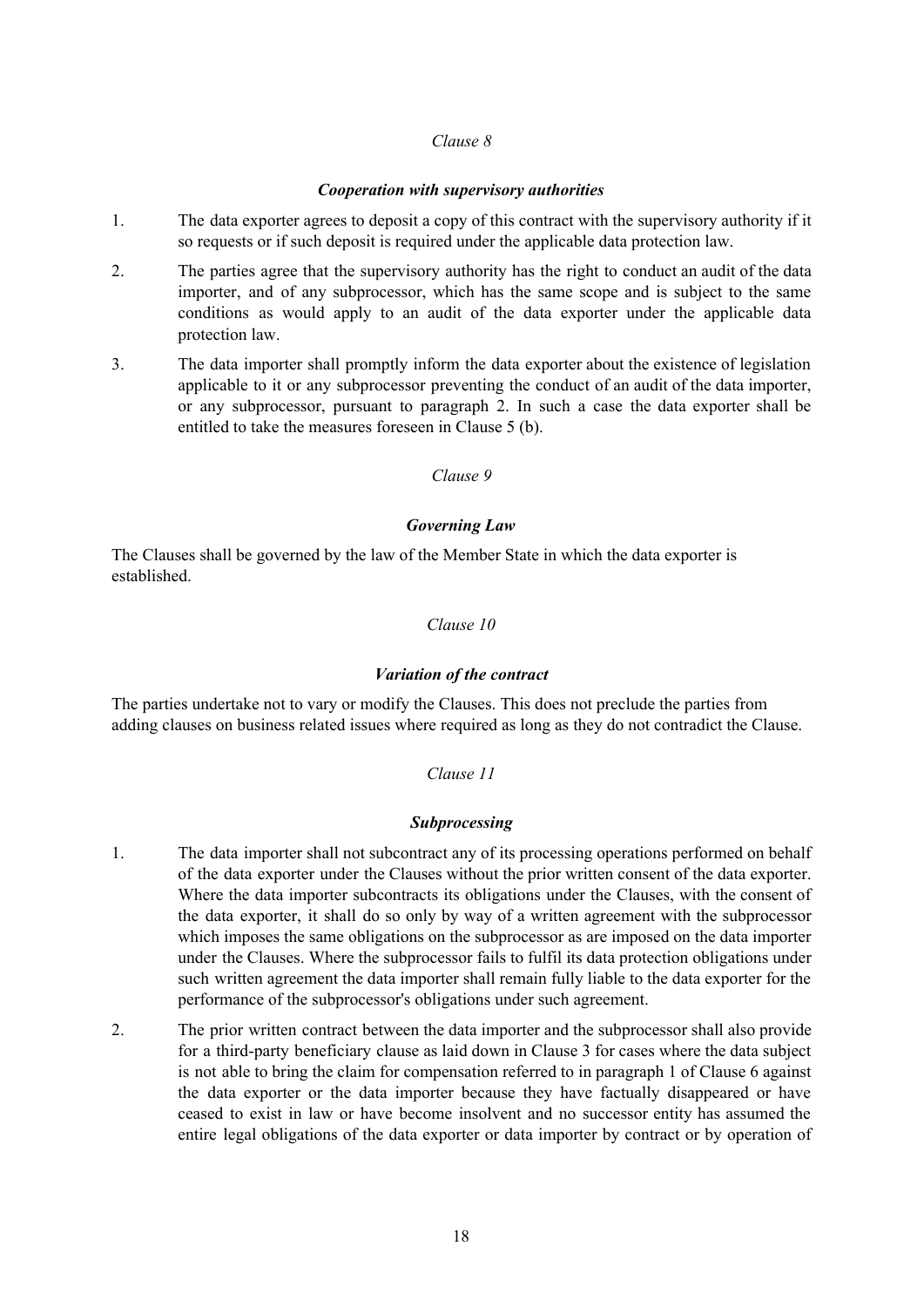#### *Clause 8*

#### *Cooperation with supervisory authorities*

- 1. The data exporter agrees to deposit a copy of this contract with the supervisory authority if it so requests or if such deposit is required under the applicable data protection law.
- 2. The parties agree that the supervisory authority has the right to conduct an audit of the data importer, and of any subprocessor, which has the same scope and is subject to the same conditions as would apply to an audit of the data exporter under the applicable data protection law.
- 3. The data importer shall promptly inform the data exporter about the existence of legislation applicable to it or any subprocessor preventing the conduct of an audit of the data importer, or any subprocessor, pursuant to paragraph 2. In such a case the data exporter shall be entitled to take the measures foreseen in Clause 5 (b).

#### *Clause 9*

## *Governing Law*

The Clauses shall be governed by the law of the Member State in which the data exporter is established.

#### *Clause 10*

#### *Variation of the contract*

The parties undertake not to vary or modify the Clauses. This does not preclude the parties from adding clauses on business related issues where required as long as they do not contradict the Clause.

#### *Clause 11*

#### *Subprocessing*

- 1. The data importer shall not subcontract any of its processing operations performed on behalf of the data exporter under the Clauses without the prior written consent of the data exporter. Where the data importer subcontracts its obligations under the Clauses, with the consent of the data exporter, it shall do so only by way of a written agreement with the subprocessor which imposes the same obligations on the subprocessor as are imposed on the data importer under the Clauses. Where the subprocessor fails to fulfil its data protection obligations under such written agreement the data importer shall remain fully liable to the data exporter for the performance of the subprocessor's obligations under such agreement.
- 2. The prior written contract between the data importer and the subprocessor shall also provide for a third-party beneficiary clause as laid down in Clause 3 for cases where the data subject is not able to bring the claim for compensation referred to in paragraph 1 of Clause 6 against the data exporter or the data importer because they have factually disappeared or have ceased to exist in law or have become insolvent and no successor entity has assumed the entire legal obligations of the data exporter or data importer by contract or by operation of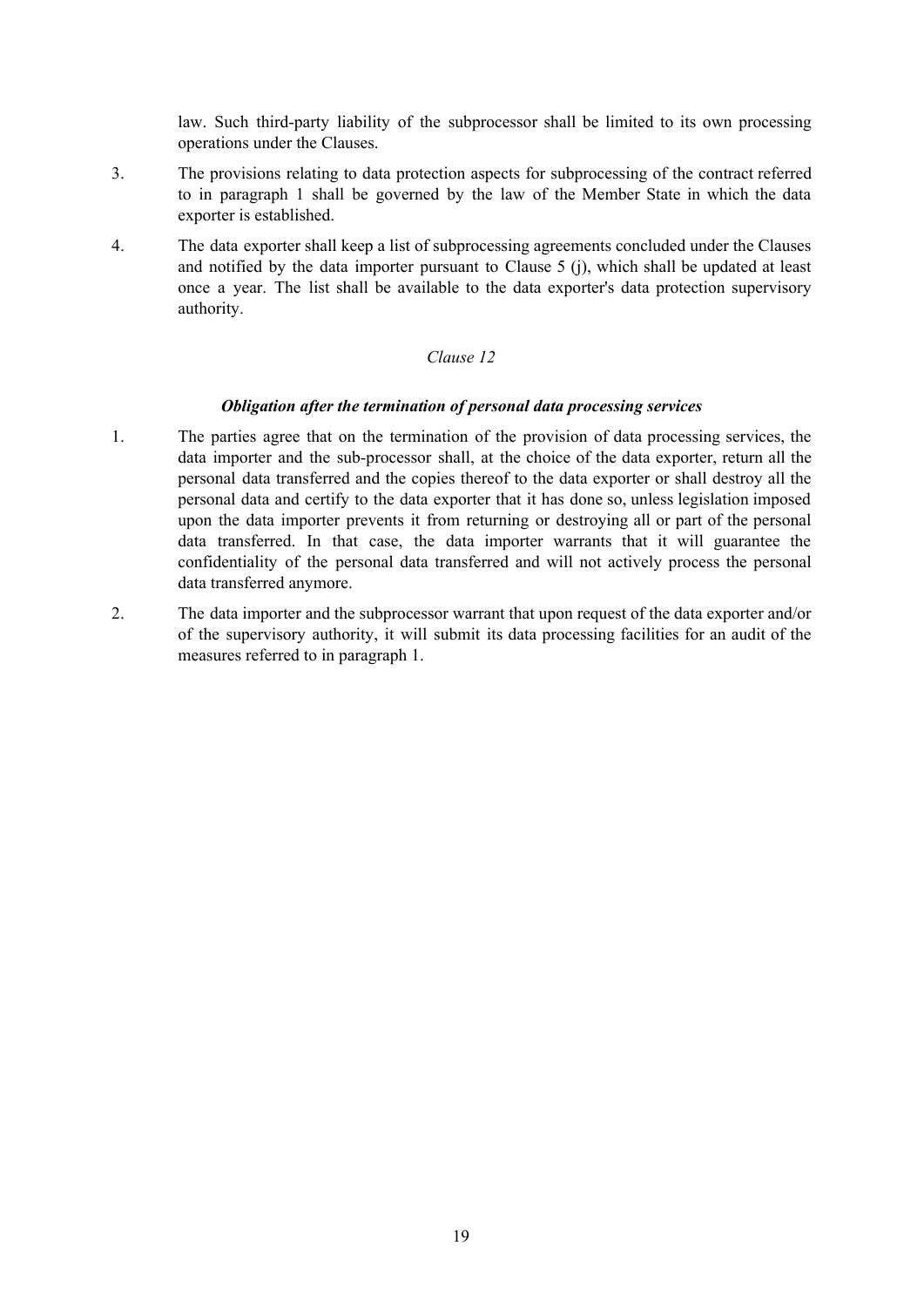law. Such third-party liability of the subprocessor shall be limited to its own processing operations under the Clauses.

- 3. The provisions relating to data protection aspects for subprocessing of the contract referred to in paragraph 1 shall be governed by the law of the Member State in which the data exporter is established.
- 4. The data exporter shall keep a list of subprocessing agreements concluded under the Clauses and notified by the data importer pursuant to Clause 5 (j), which shall be updated at least once a year. The list shall be available to the data exporter's data protection supervisory authority.

## *Clause 12*

#### *Obligation after the termination of personal data processing services*

- 1. The parties agree that on the termination of the provision of data processing services, the data importer and the sub-processor shall, at the choice of the data exporter, return all the personal data transferred and the copies thereof to the data exporter or shall destroy all the personal data and certify to the data exporter that it has done so, unless legislation imposed upon the data importer prevents it from returning or destroying all or part of the personal data transferred. In that case, the data importer warrants that it will guarantee the confidentiality of the personal data transferred and will not actively process the personal data transferred anymore.
- 2. The data importer and the subprocessor warrant that upon request of the data exporter and/or of the supervisory authority, it will submit its data processing facilities for an audit of the measures referred to in paragraph 1.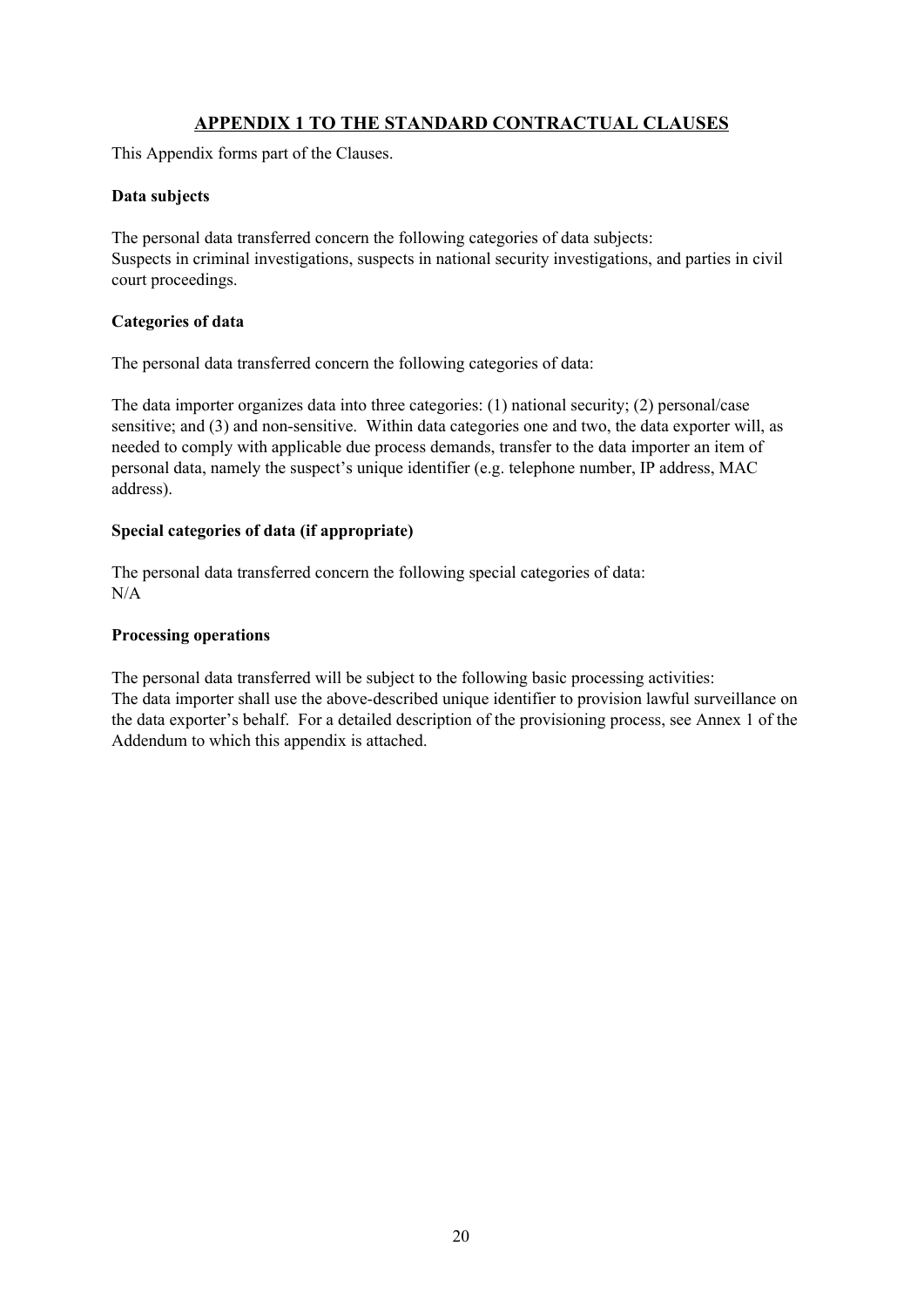# **APPENDIX 1 TO THE STANDARD CONTRACTUAL CLAUSES**

This Appendix forms part of the Clauses.

## **Data subjects**

The personal data transferred concern the following categories of data subjects: Suspects in criminal investigations, suspects in national security investigations, and parties in civil court proceedings.

## **Categories of data**

The personal data transferred concern the following categories of data:

The data importer organizes data into three categories: (1) national security; (2) personal/case sensitive; and (3) and non-sensitive. Within data categories one and two, the data exporter will, as needed to comply with applicable due process demands, transfer to the data importer an item of personal data, namely the suspect's unique identifier (e.g. telephone number, IP address, MAC address).

## **Special categories of data (if appropriate)**

The personal data transferred concern the following special categories of data:  $N/A$ 

## **Processing operations**

The personal data transferred will be subject to the following basic processing activities: The data importer shall use the above-described unique identifier to provision lawful surveillance on the data exporter's behalf. For a detailed description of the provisioning process, see Annex 1 of the Addendum to which this appendix is attached.